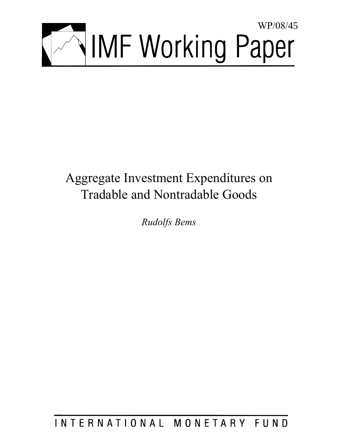

# Aggregate Investment Expenditures on Tradable and Nontradable Goods

*Rudolfs Bems* 

INTERNATIONAL MONETARY FUND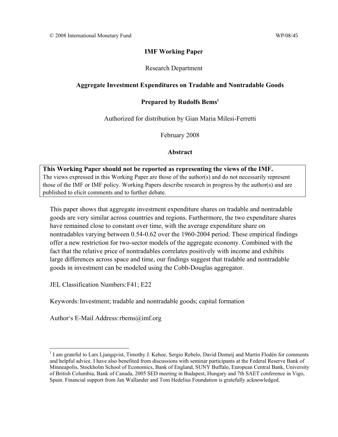## **IMF Working Paper**

Research Department

## **Aggregate Investment Expenditures on Tradable and Nontradable Goods**

## **Prepared by Rudolfs Bems1**

Authorized for distribution by Gian Maria Milesi-Ferretti

February 2008

**Abstract**

**This Working Paper should not be reported as representing the views of the IMF.** The views expressed in this Working Paper are those of the author(s) and do not necessarily represent those of the IMF or IMF policy. Working Papers describe research in progress by the author(s) and are published to elicit comments and to further debate.

This paper shows that aggregate investment expenditure shares on tradable and nontradable goods are very similar across countries and regions. Furthermore, the two expenditure shares have remained close to constant over time, with the average expenditure share on nontradables varying between 0.54-0.62 over the 1960-2004 period. These empirical findings offer a new restriction for two-sector models of the aggregate economy. Combined with the fact that the relative price of nontradables correlates positively with income and exhibits large differences across space and time, our findings suggest that tradable and nontradable goods in investment can be modeled using the Cobb-Douglas aggregator.

JEL Classification Numbers: F41; E22

Keywords: Investment; tradable and nontradable goods; capital formation

Author's E-Mail Address: rbems@imf.org

<sup>&</sup>lt;sup>1</sup> I am grateful to Lars Ljungqvist, Timothy J. Kehoe, Sergio Rebelo, David Domeij and Martin Flodén for comments and helpful advice. I have also benefited from discussions with seminar participants at the Federal Reserve Bank of Minneapolis, Stockholm School of Economics, Bank of England, SUNY Buffalo, European Central Bank, University of British Columbia, Bank of Canada, 2005 SED meeting in Budapest, Hungary and 7th SAET conference in Vigo, Spain. Financial support from Jan Wallander and Tom Hedelius Foundation is gratefully acknowledged.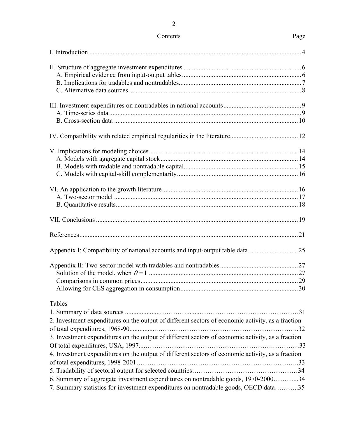| Contents | Page |
|----------|------|
|----------|------|

| Tables<br>2. Investment expenditures on the output of different sectors of economic activity, as a fraction                                                              |  |
|--------------------------------------------------------------------------------------------------------------------------------------------------------------------------|--|
| 3. Investment expenditures on the output of different sectors of economic activity, as a fraction                                                                        |  |
| 4. Investment expenditures on the output of different sectors of economic activity, as a fraction                                                                        |  |
| 6. Summary of aggregate investment expenditures on nontradable goods, 1970-200034<br>7. Summary statistics for investment expenditures on nontradable goods, OECD data35 |  |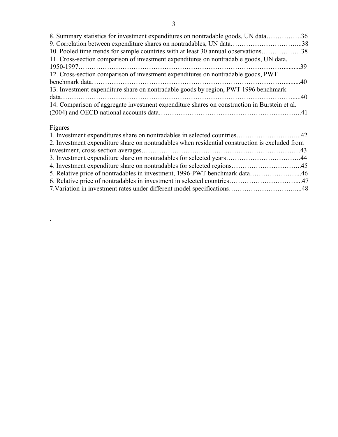| 8. Summary statistics for investment expenditures on nontradable goods, UN data36            |  |
|----------------------------------------------------------------------------------------------|--|
| 9. Correlation between expenditure shares on nontradables, UN data38                         |  |
| 10. Pooled time trends for sample countries with at least 30 annual observations38           |  |
| 11. Cross-section comparison of investment expenditures on nontradable goods, UN data,       |  |
|                                                                                              |  |
| 12. Cross-section comparison of investment expenditures on nontradable goods, PWT            |  |
|                                                                                              |  |
| 13. Investment expenditure share on nontradable goods by region, PWT 1996 benchmark          |  |
|                                                                                              |  |
| 14. Comparison of aggregate investment expenditure shares on construction in Burstein et al. |  |
|                                                                                              |  |
|                                                                                              |  |

# Figures

.

| 2. Investment expenditure share on nontradables when residential construction is excluded from |  |
|------------------------------------------------------------------------------------------------|--|
|                                                                                                |  |
|                                                                                                |  |
|                                                                                                |  |
|                                                                                                |  |
|                                                                                                |  |
|                                                                                                |  |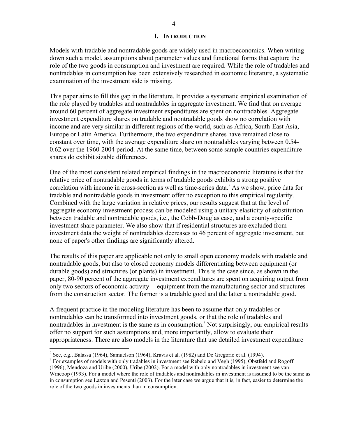## **I. INTRODUCTION**

Models with tradable and nontradable goods are widely used in macroeconomics. When writing down such a model, assumptions about parameter values and functional forms that capture the role of the two goods in consumption and investment are required. While the role of tradables and nontradables in consumption has been extensively researched in economic literature, a systematic examination of the investment side is missing.

This paper aims to fill this gap in the literature. It provides a systematic empirical examination of the role played by tradables and nontradables in aggregate investment. We find that on average around 60 percent of aggregate investment expenditures are spent on nontradables. Aggregate investment expenditure shares on tradable and nontradable goods show no correlation with income and are very similar in different regions of the world, such as Africa, South-East Asia, Europe or Latin America. Furthermore, the two expenditure shares have remained close to constant over time, with the average expenditure share on nontradables varying between 0.54- 0.62 over the 1960-2004 period. At the same time, between some sample countries expenditure shares do exhibit sizable differences.

One of the most consistent related empirical findings in the macroeconomic literature is that the relative price of nontradable goods in terms of tradable goods exhibits a strong positive correlation with income in cross-section as well as time-series data.<sup>2</sup> As we show, price data for tradable and nontradable goods in investment offer no exception to this empirical regularity. Combined with the large variation in relative prices, our results suggest that at the level of aggregate economy investment process can be modeled using a unitary elasticity of substitution between tradable and nontradable goods, i.e., the Cobb-Douglas case, and a county-specific investment share parameter. We also show that if residential structures are excluded from investment data the weight of nontradables decreases to 46 percent of aggregate investment, but none of paper's other findings are significantly altered.

The results of this paper are applicable not only to small open economy models with tradable and nontradable goods, but also to closed economy models differentiating between equipment (or durable goods) and structures (or plants) in investment. This is the case since, as shown in the paper, 80-90 percent of the aggregate investment expenditures are spent on acquiring output from only two sectors of economic activity -- equipment from the manufacturing sector and structures from the construction sector. The former is a tradable good and the latter a nontradable good.

A frequent practice in the modeling literature has been to assume that only tradables or nontradables can be transformed into investment goods, or that the role of tradables and nontradables in investment is the same as in consumption.<sup>3</sup> Not surprisingly, our empirical results offer no support for such assumptions and, more importantly, allow to evaluate their appropriateness. There are also models in the literature that use detailed investment expenditure

<sup>&</sup>lt;sup>2</sup> See, e.g., Balassa (1964), Samuelson (1964), Kravis et al. (1982) and De Gregorio et al. (1994).

<sup>&</sup>lt;sup>3</sup> For examples of models with only tradables in investment see Rebelo and Vegh (1995), Obstfeld and Rogoff (1996), Mendoza and Uribe (2000), Uribe (2002). For a model with only nontradables in investment see van Wincoop (1993). For a model where the role of tradables and nontradables in investment is assumed to be the same as in consumption see Laxton and Pesenti (2003). For the later case we argue that it is, in fact, easier to determine the role of the two goods in investments than in consumption.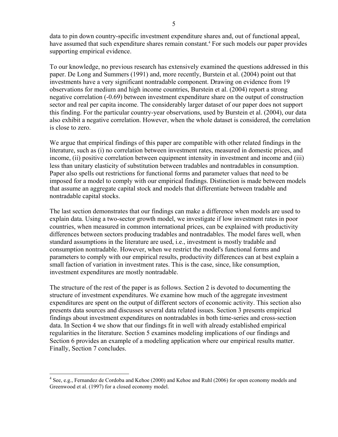data to pin down country-specific investment expenditure shares and, out of functional appeal, have assumed that such expenditure shares remain constant.<sup>4</sup> For such models our paper provides supporting empirical evidence.

To our knowledge, no previous research has extensively examined the questions addressed in this paper. De Long and Summers (1991) and, more recently, Burstein et al. (2004) point out that investments have a very significant nontradable component. Drawing on evidence from 19 observations for medium and high income countries, Burstein et al. (2004) report a strong negative correlation (-0.69) between investment expenditure share on the output of construction sector and real per capita income. The considerably larger dataset of our paper does not support this finding. For the particular country-year observations, used by Burstein et al. (2004), our data also exhibit a negative correlation. However, when the whole dataset is considered, the correlation is close to zero.

We argue that empirical findings of this paper are compatible with other related findings in the literature, such as (i) no correlation between investment rates, measured in domestic prices, and income, (ii) positive correlation between equipment intensity in investment and income and (iii) less than unitary elasticity of substitution between tradables and nontradables in consumption. Paper also spells out restrictions for functional forms and parameter values that need to be imposed for a model to comply with our empirical findings. Distinction is made between models that assume an aggregate capital stock and models that differentiate between tradable and nontradable capital stocks.

The last section demonstrates that our findings can make a difference when models are used to explain data. Using a two-sector growth model, we investigate if low investment rates in poor countries, when measured in common international prices, can be explained with productivity differences between sectors producing tradables and nontradables. The model fares well, when standard assumptions in the literature are used, i.e., investment is mostly tradable and consumption nontradable. However, when we restrict the model's functional forms and parameters to comply with our empirical results, productivity differences can at best explain a small faction of variation in investment rates. This is the case, since, like consumption, investment expenditures are mostly nontradable.

The structure of the rest of the paper is as follows. Section 2 is devoted to documenting the structure of investment expenditures. We examine how much of the aggregate investment expenditures are spent on the output of different sectors of economic activity. This section also presents data sources and discusses several data related issues. Section 3 presents empirical findings about investment expenditures on nontradables in both time-series and cross-section data. In Section 4 we show that our findings fit in well with already established empirical regularities in the literature. Section 5 examines modeling implications of our findings and Section 6 provides an example of a modeling application where our empirical results matter. Finally, Section 7 concludes.

<sup>&</sup>lt;sup>4</sup> See, e.g., Fernandez de Cordoba and Kehoe (2000) and Kehoe and Ruhl (2006) for open economy models and Greenwood et al. (1997) for a closed economy model.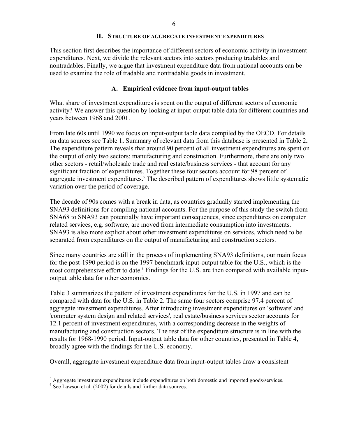#### **II. STRUCTURE OF AGGREGATE INVESTMENT EXPENDITURES**

This section first describes the importance of different sectors of economic activity in investment expenditures. Next, we divide the relevant sectors into sectors producing tradables and nontradables. Finally, we argue that investment expenditure data from national accounts can be used to examine the role of tradable and nontradable goods in investment.

#### **A. Empirical evidence from input-output tables**

What share of investment expenditures is spent on the output of different sectors of economic activity? We answer this question by looking at input-output table data for different countries and years between 1968 and 2001.

From late 60s until 1990 we focus on input-output table data compiled by the OECD. For details on data sources see Table 1**.** Summary of relevant data from this database is presented in Table 2**.**  The expenditure pattern reveals that around 90 percent of all investment expenditures are spent on the output of only two sectors: manufacturing and construction. Furthermore, there are only two other sectors - retail/wholesale trade and real estate/business services - that account for any significant fraction of expenditures. Together these four sectors account for 98 percent of aggregate investment expenditures.<sup>5</sup> The described pattern of expenditures shows little systematic variation over the period of coverage.

The decade of 90s comes with a break in data, as countries gradually started implementing the SNA93 definitions for compiling national accounts. For the purpose of this study the switch from SNA68 to SNA93 can potentially have important consequences, since expenditures on computer related services, e.g. software, are moved from intermediate consumption into investments. SNA93 is also more explicit about other investment expenditures on services, which need to be separated from expenditures on the output of manufacturing and construction sectors.

Since many countries are still in the process of implementing SNA93 definitions, our main focus for the post-1990 period is on the 1997 benchmark input-output table for the U.S., which is the most comprehensive effort to date.<sup>6</sup> Findings for the U.S. are then compared with available inputoutput table data for other economies.

Table 3 summarizes the pattern of investment expenditures for the U.S. in 1997 and can be compared with data for the U.S. in Table 2. The same four sectors comprise 97.4 percent of aggregate investment expenditures. After introducing investment expenditures on 'software' and 'computer system design and related services', real estate/business services sector accounts for 12.1 percent of investment expenditures, with a corresponding decrease in the weights of manufacturing and construction sectors. The rest of the expenditure structure is in line with the results for 1968-1990 period. Input-output table data for other countries, presented in Table 4**,**  broadly agree with the findings for the U.S. economy.

Overall, aggregate investment expenditure data from input-output tables draw a consistent

<sup>&</sup>lt;sup>5</sup> Aggregate investment expenditures include expenditures on both domestic and imported goods/services.

<sup>6</sup> See Lawson et al. (2002) for details and further data sources.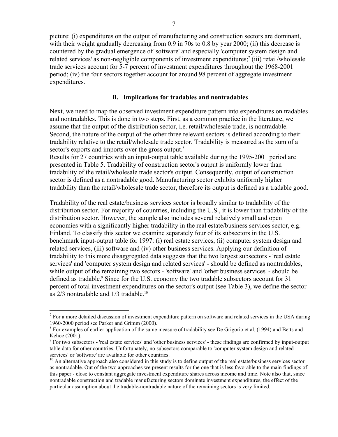picture: (i) expenditures on the output of manufacturing and construction sectors are dominant, with their weight gradually decreasing from 0.9 in 70s to 0.8 by year 2000; (ii) this decrease is countered by the gradual emergence of 'software' and especially 'computer system design and related services' as non-negligible components of investment expenditures;<sup>7</sup> (iii) retail/wholesale trade services account for 5-7 percent of investment expenditures throughout the 1968-2001 period; (iv) the four sectors together account for around 98 percent of aggregate investment expenditures.

## **B. Implications for tradables and nontradables**

Next, we need to map the observed investment expenditure pattern into expenditures on tradables and nontradables. This is done in two steps. First, as a common practice in the literature, we assume that the output of the distribution sector, i.e. retail/wholesale trade, is nontradable. Second, the nature of the output of the other three relevant sectors is defined according to their tradability relative to the retail/wholesale trade sector. Tradability is measured as the sum of a sector's exports and imports over the gross output.<sup>8</sup>

Results for 27 countries with an input-output table available during the 1995-2001 period are presented in Table 5. Tradability of construction sector's output is uniformly lower than tradability of the retail/wholesale trade sector's output. Consequently, output of construction sector is defined as a nontradable good. Manufacturing sector exhibits uniformly higher tradability than the retail/wholesale trade sector, therefore its output is defined as a tradable good.

Tradability of the real estate/business services sector is broadly similar to tradability of the distribution sector. For majority of countries, including the U.S., it is lower than tradability of the distribution sector. However, the sample also includes several relatively small and open economies with a significantly higher tradability in the real estate/business services sector, e.g. Finland. To classify this sector we examine separately four of its subsectors in the U.S. benchmark input-output table for 1997: (i) real estate services, (ii) computer system design and related services, (iii) software and (iv) other business services. Applying our definition of tradability to this more disaggregated data suggests that the two largest subsectors - 'real estate services' and 'computer system design and related services' - should be defined as nontradables, while output of the remaining two sectors - 'software' and 'other business services' - should be defined as tradable.<sup>9</sup> Since for the U.S. economy the two tradable subsectors account for 31 percent of total investment expenditures on the sector's output (see Table 3), we define the sector as  $2/3$  nontradable and  $1/3$  tradable.<sup>10</sup>

<sup>&</sup>lt;sup>7</sup> For a more detailed discussion of investment expenditure pattern on software and related services in the USA during 1960-2000 period see Parker and Grimm (2000).

 $8$  For examples of earlier application of the same measure of tradability see De Grigorio et al. (1994) and Betts and Kehoe (2001).

 $9^9$  For two subsectors - 'real estate services' and 'other business services' - these findings are confirmed by input-output table data for other countries. Unfortunately, no subsectors comparable to 'computer system design and related

 $10$  An alternative approach also considered in this study is to define output of the real estate/business services sector as nontradable. Out of the two approaches we present results for the one that is less favorable to the main findings of this paper - close to constant aggregate investment expenditure shares across income and time. Note also that, since nontradable construction and tradable manufacturing sectors dominate investment expenditures, the effect of the particular assumption about the tradable-nontradable nature of the remaining sectors is very limited.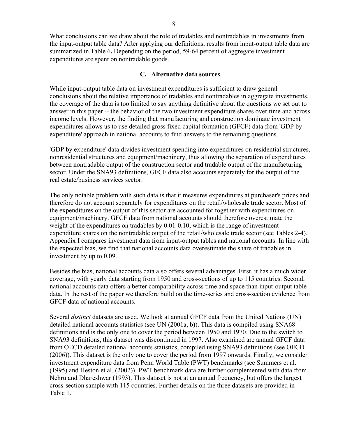What conclusions can we draw about the role of tradables and nontradables in investments from the input-output table data? After applying our definitions, results from input-output table data are summarized in Table 6**.** Depending on the period, 59-64 percent of aggregate investment expenditures are spent on nontradable goods.

## **C. Alternative data sources**

While input-output table data on investment expenditures is sufficient to draw general conclusions about the relative importance of tradables and nontradables in aggregate investments, the coverage of the data is too limited to say anything definitive about the questions we set out to answer in this paper -- the behavior of the two investment expenditure shares over time and across income levels. However, the finding that manufacturing and construction dominate investment expenditures allows us to use detailed gross fixed capital formation (GFCF) data from 'GDP by expenditure' approach in national accounts to find answers to the remaining questions.

'GDP by expenditure' data divides investment spending into expenditures on residential structures, nonresidential structures and equipment/machinery, thus allowing the separation of expenditures between nontradable output of the construction sector and tradable output of the manufacturing sector. Under the SNA93 definitions, GFCF data also accounts separately for the output of the real estate/business services sector.

The only notable problem with such data is that it measures expenditures at purchaser's prices and therefore do not account separately for expenditures on the retail/wholesale trade sector. Most of the expenditures on the output of this sector are accounted for together with expenditures on equipment/machinery. GFCF data from national accounts should therefore overestimate the weight of the expenditures on tradables by 0.01-0.10, which is the range of investment expenditure shares on the nontradable output of the retail/wholesale trade sector (see Tables 2-4). Appendix I compares investment data from input-output tables and national accounts. In line with the expected bias, we find that national accounts data overestimate the share of tradables in investment by up to 0.09.

Besides the bias, national accounts data also offers several advantages. First, it has a much wider coverage, with yearly data starting from 1950 and cross-sections of up to 115 countries. Second, national accounts data offers a better comparability across time and space than input-output table data. In the rest of the paper we therefore build on the time-series and cross-section evidence from GFCF data of national accounts.

Several *distinct* datasets are used. We look at annual GFCF data from the United Nations (UN) detailed national accounts statistics (see UN (2001a, b)). This data is compiled using SNA68 definitions and is the only one to cover the period between 1950 and 1970. Due to the switch to SNA93 definitions, this dataset was discontinued in 1997. Also examined are annual GFCF data from OECD detailed national accounts statistics, compiled using SNA93 definitions (see OECD (2006)). This dataset is the only one to cover the period from 1997 onwards. Finally, we consider investment expenditure data from Penn World Table (PWT) benchmarks (see Summers et al. (1995) and Heston et al. (2002)). PWT benchmark data are further complemented with data from Nehru and Dhareshwar (1993). This dataset is not at an annual frequency, but offers the largest cross-section sample with 115 countries. Further details on the three datasets are provided in Table 1.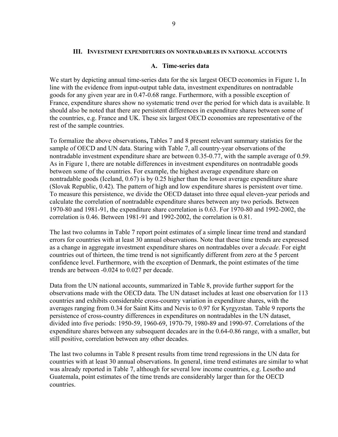#### **III. INVESTMENT EXPENDITURES ON NONTRADABLES IN NATIONAL ACCOUNTS**

#### **A. Time-series data**

We start by depicting annual time-series data for the six largest OECD economies in Figure 1**.** In line with the evidence from input-output table data, investment expenditures on nontradable goods for any given year are in 0.47-0.68 range. Furthermore, with a possible exception of France, expenditure shares show no systematic trend over the period for which data is available. It should also be noted that there are persistent differences in expenditure shares between some of the countries, e.g. France and UK. These six largest OECD economies are representative of the rest of the sample countries.

To formalize the above observations**,** Tables 7 and 8 present relevant summary statistics for the sample of OECD and UN data. Staring with Table 7, all country-year observations of the nontradable investment expenditure share are between 0.35-0.77, with the sample average of 0.59. As in Figure 1, there are notable differences in investment expenditures on nontradable goods between some of the countries. For example, the highest average expenditure share on nontradable goods (Iceland, 0.67) is by 0.25 higher than the lowest average expenditure share (Slovak Republic, 0.42). The pattern of high and low expenditure shares is persistent over time. To measure this persistence, we divide the OECD dataset into three equal eleven-year periods and calculate the correlation of nontradable expenditure shares between any two periods. Between 1970-80 and 1981-91, the expenditure share correlation is 0.63. For 1970-80 and 1992-2002, the correlation is 0.46. Between 1981-91 and 1992-2002, the correlation is 0.81.

The last two columns in Table 7 report point estimates of a simple linear time trend and standard errors for countries with at least 30 annual observations. Note that these time trends are expressed as a change in aggregate investment expenditure shares on nontradables over a *decade*. For eight countries out of thirteen, the time trend is not significantly different from zero at the 5 percent confidence level. Furthermore, with the exception of Denmark, the point estimates of the time trends are between -0.024 to 0.027 per decade.

Data from the UN national accounts, summarized in Table 8, provide further support for the observations made with the OECD data. The UN dataset includes at least one observation for 113 countries and exhibits considerable cross-country variation in expenditure shares, with the averages ranging from 0.34 for Saint Kitts and Nevis to 0.97 for Kyrgyzstan. Table 9 reports the persistence of cross-country differences in expenditures on nontradables in the UN dataset, divided into five periods: 1950-59, 1960-69, 1970-79, 1980-89 and 1990-97. Correlations of the expenditure shares between any subsequent decades are in the 0.64-0.86 range, with a smaller, but still positive, correlation between any other decades.

The last two columns in Table 8 present results from time trend regressions in the UN data for countries with at least 30 annual observations. In general, time trend estimates are similar to what was already reported in Table 7, although for several low income countries, e.g. Lesotho and Guatemala, point estimates of the time trends are considerably larger than for the OECD countries.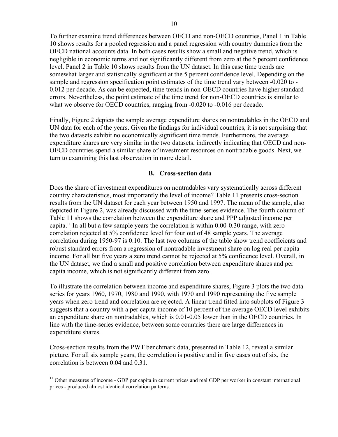To further examine trend differences between OECD and non-OECD countries, Panel 1 in Table 10 shows results for a pooled regression and a panel regression with country dummies from the OECD national accounts data. In both cases results show a small and negative trend, which is negligible in economic terms and not significantly different from zero at the 5 percent confidence level. Panel 2 in Table 10 shows results from the UN dataset. In this case time trends are somewhat larger and statistically significant at the 5 percent confidence level. Depending on the sample and regression specification point estimates of the time trend vary between -0.020 to - 0.012 per decade. As can be expected, time trends in non-OECD countries have higher standard errors. Nevertheless, the point estimate of the time trend for non-OECD countries is similar to what we observe for OECD countries, ranging from  $-0.020$  to  $-0.016$  per decade.

Finally, Figure 2 depicts the sample average expenditure shares on nontradables in the OECD and UN data for each of the years. Given the findings for individual countries, it is not surprising that the two datasets exhibit no economically significant time trends. Furthermore, the average expenditure shares are very similar in the two datasets, indirectly indicating that OECD and non-OECD countries spend a similar share of investment resources on nontradable goods. Next, we turn to examining this last observation in more detail.

## **B. Cross-section data**

Does the share of investment expenditures on nontradables vary systematically across different country characteristics, most importantly the level of income? Table 11 presents cross-section results from the UN dataset for each year between 1950 and 1997. The mean of the sample, also depicted in Figure 2, was already discussed with the time-series evidence. The fourth column of Table 11 shows the correlation between the expenditure share and PPP adjusted income per capita.<sup>11</sup> In all but a few sample years the correlation is within  $0.00$ - $0.30$  range, with zero correlation rejected at 5% confidence level for four out of 48 sample years. The average correlation during 1950-97 is 0.10. The last two columns of the table show trend coefficients and robust standard errors from a regression of nontradable investment share on log real per capita income. For all but five years a zero trend cannot be rejected at 5% confidence level. Overall, in the UN dataset, we find a small and positive correlation between expenditure shares and per capita income, which is not significantly different from zero.

To illustrate the correlation between income and expenditure shares, Figure 3 plots the two data series for years 1960, 1970, 1980 and 1990, with 1970 and 1990 representing the five sample years when zero trend and correlation are rejected. A linear trend fitted into subplots of Figure 3 suggests that a country with a per capita income of 10 percent of the average OECD level exhibits an expenditure share on nontradables, which is 0.01-0.05 lower than in the OECD countries. In line with the time-series evidence, between some countries there are large differences in expenditure shares.

Cross-section results from the PWT benchmark data, presented in Table 12, reveal a similar picture. For all six sample years, the correlation is positive and in five cases out of six, the correlation is between 0.04 and 0.31.

1

<sup>&</sup>lt;sup>11</sup> Other measures of income - GDP per capita in current prices and real GDP per worker in constant international prices - produced almost identical correlation patterns.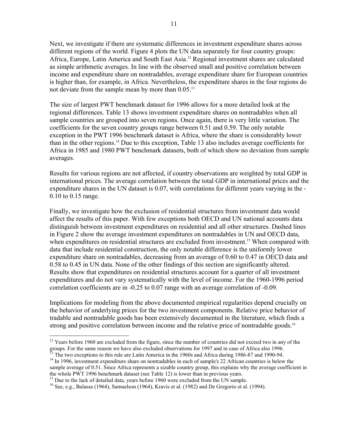Next, we investigate if there are systematic differences in investment expenditure shares across different regions of the world. Figure 4 plots the UN data separately for four country groups: Africa, Europe, Latin America and South East Asia.12 Regional investment shares are calculated as simple arithmetic averages. In line with the observed small and positive correlation between income and expenditure share on nontradables, average expenditure share for European countries is higher than, for example, in Africa. Nevertheless, the expenditure shares in the four regions do not deviate from the sample mean by more than 0.05.<sup>13</sup>

The size of largest PWT benchmark dataset for 1996 allows for a more detailed look at the regional differences. Table 13 shows investment expenditure shares on nontradables when all sample countries are grouped into seven regions. Once again, there is very little variation. The coefficients for the seven country groups range between 0.51 and 0.59. The only notable exception in the PWT 1996 benchmark dataset is Africa, where the share is considerably lower than in the other regions.14 Due to this exception, Table 13 also includes average coefficients for Africa in 1985 and 1980 PWT benchmark datasets, both of which show no deviation from sample averages.

Results for various regions are not affected, if country observations are weighted by total GDP in international prices. The average correlation between the total GDP in international prices and the expenditure shares in the UN dataset is 0.07, with correlations for different years varying in the - 0.10 to 0.15 range.

Finally, we investigate how the exclusion of residential structures from investment data would affect the results of this paper. With few exceptions both OECD and UN national accounts data distinguish between investment expenditures on residential and all other structures. Dashed lines in Figure 2 show the average investment expenditures on nontradables in UN and OECD data, when expenditures on residential structures are excluded from investment.<sup>15</sup> When compared with data that include residential construction, the only notable difference is the uniformly lower expenditure share on nontradables, decreasing from an average of 0.60 to 0.47 in OECD data and 0.58 to 0.45 in UN data. None of the other findings of this section are significantly altered. Results show that expenditures on residential structures account for a quarter of all investment expenditures and do not vary systematically with the level of income. For the 1960-1996 period correlation coefficients are in -0.25 to 0.07 range with an average correlation of -0.09.

Implications for modeling from the above documented empirical regularities depend crucially on the behavior of underlying prices for the two investment components. Relative price behavior of tradable and nontradable goods has been extensively documented in the literature, which finds a strong and positive correlation between income and the relative price of nontradable goods.<sup>16</sup>

 $\frac{13}{13}$  The two exceptions to this rule are Latin America in the 1960s and Africa during 1986-87 and 1990-94.

1

<sup>&</sup>lt;sup>12</sup> Years before 1960 are excluded from the figure, since the number of countries did not exceed two in any of the groups. For the same reason we have also excluded observations for 1997 and in case of Africa also 1996.

<sup>&</sup>lt;sup>14</sup> In 1996, investment expenditure share on nontradables in each of sample's 22 African countries is below the sample average of 0.51. Since Africa represents a sizable country group, this explains why the average coefficient in the whole PWT 1996 benchmark dataset (see Table 12) is lower than in previous years.

<sup>&</sup>lt;sup>15</sup> Due to the lack of detailed data, years before 1960 were excluded from the UN sample.

<sup>&</sup>lt;sup>16</sup> See, e.g., Balassa (1964), Samuelson (1964), Kravis et al. (1982) and De Gregorio et al. (1994).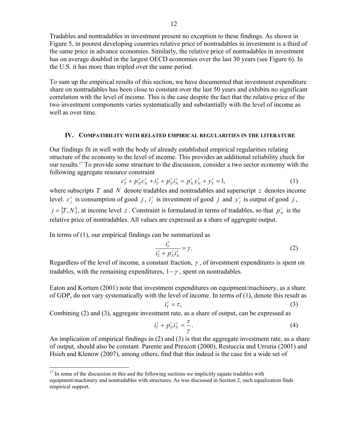Tradables and nontradables in investment present no exception to these findings. As shown in Figure 5, in poorest developing countries relative price of nontradables in investment is a third of the same price in advance economies. Similarly, the relative price of nontradables in investment has on average doubled in the largest OECD economies over the last 30 years (see Figure 6). In the U.S. it has more than tripled over the same period.

To sum up the empirical results of this section, we have documented that investment expenditure share on nontradables has been close to constant over the last 50 years and exhibits no significant correlation with the level of income. This is the case despite the fact that the relative price of the two investment components varies systematically and substantially with the level of income as well as over time.

#### **IV. COMPATIBILITY WITH RELATED EMPIRICAL REGULARITIES IN THE LITERATURE**

Our findings fit in well with the body of already established empirical regularities relating structure of the economy to the level of income. This provides an additional reliability check for our results.17 To provide some structure to the discussion, consider a two sector economy with the following aggregate resource constraint

$$
c_T^z + p_N^z c_N^z + i_T^z + p_N^z i_N^z = p_N^z y_N^z + y_T^z = 1,
$$
\n(1)

where subscripts *T* and *N* denote tradables and nontradables and superscript *z* denotes income level.  $c_j^z$  is consumption of good *j*,  $i_j^z$  is investment of good *j* and  $y_j^z$  is output of good *j*,  $j = \{T, N\}$ , at income level *z*. Constraint is formulated in terms of tradables, so that  $p_N^z$  is the relative price of nontradables. All values are expressed as a share of aggregate output.

In terms of (1), our empirical findings can be summarized as

<u>.</u>

$$
\frac{i_T^z}{i_T^z + p_N^z i_N^z} = \gamma.
$$
 (2)

Regardless of the level of income, a constant fraction,  $\gamma$ , of investment expenditures is spent on tradables, with the remaining expenditures,  $1-\gamma$ , spent on nontradables.

Eaton and Kortum (2001) note that investment expenditures on equipment/machinery, as a share of GDP, do not vary systematically with the level of income. In terms of (1), denote this result as

$$
i_T^z = \tau,\tag{3}
$$

Combining (2) and (3), aggregate investment rate, as a share of output, can be expressed as

$$
i_T^z + p_N^z i_N^z = \frac{\tau}{\gamma}.
$$
 (4)

An implication of empirical findings in (2) and (3) is that the aggregate investment rate, as a share of output, should also be constant. Parente and Prescott (2000), Restuccia and Urrutia (2001) and Hsieh and Klenow (2007), among others, find that this indeed is the case for a wide set of

 $17$  In some of the discussion in this and the following sections we implicitly equate tradables with equipment/machinery and nontradables with structures. As was discussed in Section 2, such equalization finds empirical support.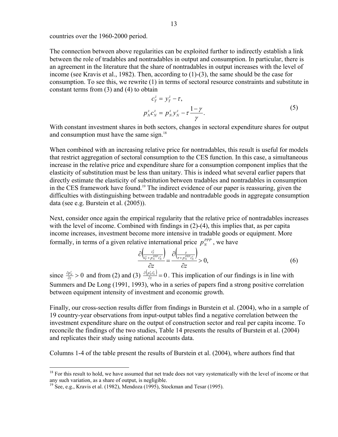countries over the 1960-2000 period.

The connection between above regularities can be exploited further to indirectly establish a link between the role of tradables and nontradables in output and consumption. In particular, there is an agreement in the literature that the share of nontradables in output increases with the level of income (see Kravis et al., 1982). Then, according to (1)-(3), the same should be the case for consumption. To see this, we rewrite (1) in terms of sectoral resource constraints and substitute in constant terms from (3) and (4) to obtain

$$
c_T^z = y_T^z - \tau,
$$
  
\n
$$
p_N^z c_N^z = p_N^z y_N^z - \tau \frac{1 - \gamma}{\gamma}.
$$
\n(5)

With constant investment shares in both sectors, changes in sectoral expenditure shares for output and consumption must have the same sign.<sup>18</sup>

When combined with an increasing relative price for nontradables, this result is useful for models that restrict aggregation of sectoral consumption to the CES function. In this case, a simultaneous increase in the relative price and expenditure share for a consumption component implies that the elasticity of substitution must be less than unitary. This is indeed what several earlier papers that directly estimate the elasticity of substitution between tradables and nontradables in consumption in the CES framework have found.19 The indirect evidence of our paper is reassuring, given the difficulties with distinguishing between tradable and nontradable goods in aggregate consumption data (see e.g. Burstein et al. (2005)).

Next, consider once again the empirical regularity that the relative price of nontradables increases with the level of income. Combined with findings in (2)-(4), this implies that, as per capita income increases, investment become more intensive in tradable goods or equipment. More formally, in terms of a given relative international price  $p_N^{PPP}$ , we have

$$
\frac{\partial \left(\frac{i\bar{r}}{i\bar{r} + p_N^{PPP}i\bar{r}_N}\right)}{\partial z} = \frac{\partial \left(\frac{\bar{r}}{\bar{r} + p_N^{PPP}i\bar{r}_N}\right)}{\partial z} > 0,
$$
\n(6)

since  $\frac{\partial p_N^z}{\partial z} > 0$ *z*  $\frac{p^z_N}{\partial z} > 0$  and from (2) and (3)  $\frac{\partial (p^z_N i^z_N)}{\partial z} = 0$ *z*  $p_{\tilde{x}}^{i,i\tilde{x}}=0$ . This implication of our findings is in line with Summers and De Long (1991, 1993), who in a series of papers find a strong positive correlation between equipment intensity of investment and economic growth.

Finally, our cross-section results differ from findings in Burstein et al. (2004), who in a sample of 19 country-year observations from input-output tables find a negative correlation between the investment expenditure share on the output of construction sector and real per capita income. To reconcile the findings of the two studies, Table 14 presents the results of Burstein et al. (2004) and replicates their study using national accounts data.

Columns 1-4 of the table present the results of Burstein et al. (2004), where authors find that

<u>.</u>

 $18$  For this result to hold, we have assumed that net trade does not vary systematically with the level of income or that any such variation, as a share of output, is negligible.

<sup>&</sup>lt;sup>19</sup> See, e.g., Kravis et al. (1982), Mendoza (1995), Stockman and Tesar (1995).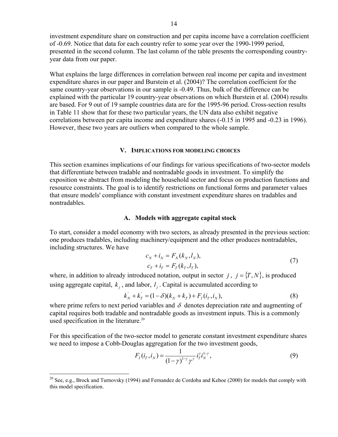investment expenditure share on construction and per capita income have a correlation coefficient of -0.69. Notice that data for each country refer to some year over the 1990-1999 period, presented in the second column. The last column of the table presents the corresponding countryyear data from our paper.

What explains the large differences in correlation between real income per capita and investment expenditure shares in our paper and Burstein et al. (2004)? The correlation coefficient for the same country-year observations in our sample is -0.49. Thus, bulk of the difference can be explained with the particular 19 country-year observations on which Burstein et al. (2004) results are based. For 9 out of 19 sample countries data are for the 1995-96 period. Cross-section results in Table 11 show that for these two particular years, the UN data also exhibit negative correlations between per capita income and expenditure shares (-0.15 in 1995 and -0.23 in 1996). However, these two years are outliers when compared to the whole sample.

#### **V. IMPLICATIONS FOR MODELING CHOICES**

This section examines implications of our findings for various specifications of two-sector models that differentiate between tradable and nontradable goods in investment. To simplify the exposition we abstract from modeling the household sector and focus on production functions and resource constraints. The goal is to identify restrictions on functional forms and parameter values that ensure models' compliance with constant investment expenditure shares on tradables and nontradables.

#### **A. Models with aggregate capital stock**

To start, consider a model economy with two sectors, as already presented in the previous section: one produces tradables, including machinery/equipment and the other produces nontradables, including structures. We have

$$
c_N + i_N = F_N(k_N, l_N),
$$
  
\n
$$
c_T + i_T = F_T(k_T, l_T),
$$
\n(7)

where, in addition to already introduced notation, output in sector  $j$ ,  $j = \{T, N\}$ , is produced using aggregate capital,  $k_i$ , and labor,  $l_i$ . Capital is accumulated according to

$$
k'_{N} + k'_{T} = (1 - \delta)(k_{N} + k_{T}) + F_{I}(i_{T}, i_{N}),
$$
\n(8)

where prime refers to next period variables and  $\delta$  denotes depreciation rate and augmenting of capital requires both tradable and nontradable goods as investment inputs. This is a commonly used specification in the literature.<sup>20</sup>

For this specification of the two-sector model to generate constant investment expenditure shares we need to impose a Cobb-Douglas aggregation for the two investment goods,

$$
F_I(i_T, i_N) = \frac{1}{(1 - \gamma)^{1 - \gamma} \gamma^{\gamma}} i_T^{r} i_N^{1 - \gamma},
$$
\n(9)

 $20$  See, e.g., Brock and Turnovsky (1994) and Fernandez de Cordoba and Kehoe (2000) for models that comply with this model specification.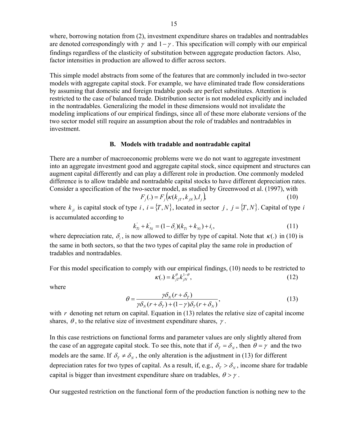where, borrowing notation from (2), investment expenditure shares on tradables and nontradables are denoted correspondingly with  $\gamma$  and  $1 - \gamma$ . This specification will comply with our empirical findings regardless of the elasticity of substitution between aggregate production factors. Also, factor intensities in production are allowed to differ across sectors.

This simple model abstracts from some of the features that are commonly included in two-sector models with aggregate capital stock. For example, we have eliminated trade flow considerations by assuming that domestic and foreign tradable goods are perfect substitutes. Attention is restricted to the case of balanced trade. Distribution sector is not modeled explicitly and included in the nontradables. Generalizing the model in these dimensions would not invalidate the modeling implications of our empirical findings, since all of these more elaborate versions of the two sector model still require an assumption about the role of tradables and nontradables in investment.

#### **B. Models with tradable and nontradable capital**

There are a number of macroeconomic problems were we do not want to aggregate investment into an aggregate investment good and aggregate capital stock, since equipment and structures can augment capital differently and can play a different role in production. One commonly modeled difference is to allow tradable and nontradable capital stocks to have different depreciation rates. Consider a specification of the two-sector model, as studied by Greenwood et al. (1997), with

$$
F_j(.) = F_j(\kappa(k_{jT}, k_{jN}), l_j),
$$
\n(10)

where  $k_{ji}$  is capital stock of type *i*,  $i = \{T, N\}$ , located in sector *j*,  $j = \{T, N\}$ . Capital of type *i* is accumulated according to

$$
k'_{Ti} + k'_{Ni} = (1 - \delta_i)(k_{Ti} + k_{Ni}) + i_i,
$$
\n(11)

where depreciation rate,  $\delta_i$ , is now allowed to differ by type of capital. Note that  $\kappa(.)$  in (10) is the same in both sectors, so that the two types of capital play the same role in production of tradables and nontradables.

For this model specification to comply with our empirical findings, (10) needs to be restricted to  $\kappa(.) = k_{i\tau}^{\theta} k_{i\gamma}^{1-\theta}$ , (12)

where

$$
\theta = \frac{\gamma \delta_N (r + \delta_T)}{\gamma \delta_N (r + \delta_T) + (1 - \gamma) \delta_T (r + \delta_N)},
$$
\n(13)

with *r* denoting net return on capital. Equation in (13) relates the relative size of capital income shares,  $\theta$ , to the relative size of investment expenditure shares,  $\gamma$ .

In this case restrictions on functional forms and parameter values are only slightly altered from the case of an aggregate capital stock. To see this, note that if  $\delta_T = \delta_N$ , then  $\theta = \gamma$  and the two models are the same. If  $\delta_T \neq \delta_N$ , the only alteration is the adjustment in (13) for different depreciation rates for two types of capital. As a result, if, e.g.,  $\delta_{\tau} > \delta_{\nu}$ , income share for tradable capital is bigger than investment expenditure share on tradables,  $\theta > \gamma$ .

Our suggested restriction on the functional form of the production function is nothing new to the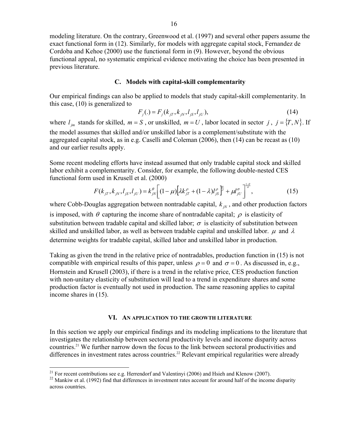modeling literature. On the contrary, Greenwood et al. (1997) and several other papers assume the exact functional form in (12). Similarly, for models with aggregate capital stock, Fernandez de Cordoba and Kehoe (2000) use the functional form in (9). However, beyond the obvious functional appeal, no systematic empirical evidence motivating the choice has been presented in previous literature.

## **C. Models with capital-skill complementarity**

Our empirical findings can also be applied to models that study capital-skill complementarity. In this case, (10) is generalized to

$$
F_j(.) = F_j(k_{jT}, k_{jN}, l_{jS}, l_{jU}),
$$
\n(14)

where  $l_{jm}$  stands for skilled,  $m = S$ , or unskilled,  $m = U$ , labor located in sector *j*,  $j = \{T, N\}$ . If the model assumes that skilled and/or unskilled labor is a complement/substitute with the aggregated capital stock, as in e.g. Caselli and Coleman (2006), then (14) can be recast as (10) and our earlier results apply.

Some recent modeling efforts have instead assumed that only tradable capital stock and skilled labor exhibit a complementarity. Consider, for example, the following double-nested CES functional form used in Krusell et al. (2000)

$$
F(k_{jT}, k_{jN}, l_{jS}, l_{jU}) = k_{jN}^{\theta} \left[ (1 - \mu) \left[ \lambda k_{jT}^{\rho} + (1 - \lambda) l_{jS}^{\rho} \right]_{\theta}^{\theta} + \mu l_{jU}^{\sigma} \right]_{\theta}^{\frac{1 - \theta}{\sigma}},
$$
(15)

where Cobb-Douglas aggregation between nontradable capital,  $k_{N}$ , and other production factors is imposed, with  $\theta$  capturing the income share of nontradable capital;  $\rho$  is elasticity of substitution between tradable capital and skilled labor;  $\sigma$  is elasticity of substitution between skilled and unskilled labor, as well as between tradable capital and unskilled labor.  $\mu$  and  $\lambda$ determine weights for tradable capital, skilled labor and unskilled labor in production.

Taking as given the trend in the relative price of nontradables, production function in (15) is not compatible with empirical results of this paper, unless  $\rho = 0$  and  $\sigma = 0$ . As discussed in, e.g., Hornstein and Krusell (2003), if there is a trend in the relative price, CES production function with non-unitary elasticity of substitution will lead to a trend in expenditure shares and some production factor is eventually not used in production. The same reasoning applies to capital income shares in (15).

#### **VI. AN APPLICATION TO THE GROWTH LITERATURE**

In this section we apply our empirical findings and its modeling implications to the literature that investigates the relationship between sectoral productivity levels and income disparity across countries.21 We further narrow down the focus to the link between sectoral productivities and differences in investment rates across countries.<sup>22</sup> Relevant empirical regularities were already

 $21$  For recent contributions see e.g. Herrendorf and Valentinyi (2006) and Hsieh and Klenow (2007).

 $22$  Mankiw et al. (1992) find that differences in investment rates account for around half of the income disparity across countries.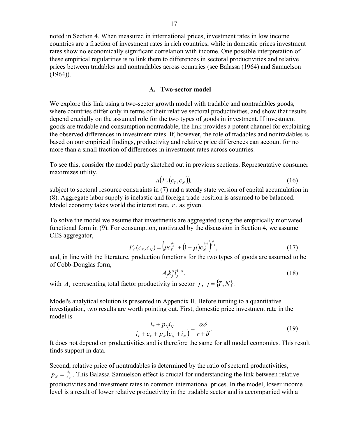noted in Section 4. When measured in international prices, investment rates in low income countries are a fraction of investment rates in rich countries, while in domestic prices investment rates show no economically significant correlation with income. One possible interpretation of these empirical regularities is to link them to differences in sectoral productivities and relative prices between tradables and nontradables across countries (see Balassa (1964) and Samuelson  $(1964)$ ).

#### **A. Two-sector model**

We explore this link using a two-sector growth model with tradable and nontradables goods, where countries differ only in terms of their relative sectoral productivities, and show that results depend crucially on the assumed role for the two types of goods in investment. If investment goods are tradable and consumption nontradable, the link provides a potent channel for explaining the observed differences in investment rates. If, however, the role of tradables and nontradables is based on our empirical findings, productivity and relative price differences can account for no more than a small fraction of differences in investment rates across countries.

To see this, consider the model partly sketched out in previous sections. Representative consumer maximizes utility,

$$
u(F_c(c_T, c_N))
$$
\n(16)

subject to sectoral resource constraints in (7) and a steady state version of capital accumulation in (8). Aggregate labor supply is inelastic and foreign trade position is assumed to be balanced. Model economy takes world the interest rate, *r* , as given.

To solve the model we assume that investments are aggregated using the empirically motivated functional form in (9). For consumption, motivated by the discussion in Section 4, we assume CES aggregator,

$$
F_C(c_T, c_N) = \left(\mu c_T^{\frac{\theta - 1}{\theta}} + (1 - \mu)c_N^{\frac{\theta - 1}{\theta}}\right)^{\frac{\theta}{\theta - 1}},
$$
\n(17)

and, in line with the literature, production functions for the two types of goods are assumed to be of Cobb-Douglas form,

$$
A_j k_j^{\alpha} l_j^{1-\alpha},\tag{18}
$$

with *A<sub>i</sub>* representing total factor productivity in sector *j*,  $j = \{T, N\}$ .

Model's analytical solution is presented in Appendix II. Before turning to a quantitative investigation, two results are worth pointing out. First, domestic price investment rate in the model is

$$
\frac{i_r + p_N i_N}{i_r + c_r + p_N (c_N + i_N)} = \frac{\alpha \delta}{r + \delta}.
$$
\n(19)

It does not depend on productivities and is therefore the same for all model economies. This result finds support in data.

Second, relative price of nontradables is determined by the ratio of sectoral productivities, *N*  $\frac{A_T}{A_{\Lambda}}$  $p_N = \frac{A_T}{A_N}$ . This Balassa-Samuelson effect is crucial for understanding the link between relative productivities and investment rates in common international prices. In the model, lower income level is a result of lower relative productivity in the tradable sector and is accompanied with a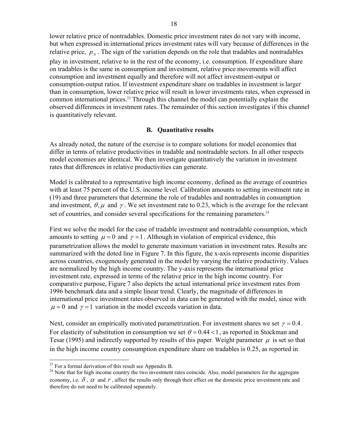lower relative price of nontradables. Domestic price investment rates do not vary with income, but when expressed in international prices investment rates will vary because of differences in the relative price,  $p<sub>N</sub>$ . The sign of the variation depends on the role that tradables and nontradables play in investment, relative to in the rest of the economy, i.e. consumption. If expenditure share on tradables is the same in consumption and investment, relative price movements will affect consumption and investment equally and therefore will not affect investment-output or consumption-output ratios. If investment expenditure share on tradables in investment is larger than in consumption, lower relative price will result in lower investments rates, when expressed in common international prices.<sup>23</sup> Through this channel the model can potentially explain the observed differences in investment rates. The remainder of this section investigates if this channel is quantitatively relevant.

#### **B. Quantitative results**

As already noted, the nature of the exercise is to compare solutions for model economies that differ in terms of relative productivities in tradable and nontradable sectors. In all other respects model economies are identical. We then investigate quantitatively the variation in investment rates that differences in relative productivities can generate.

Model is calibrated to a representative high income economy, defined as the average of countries with at least 75 percent of the U.S. income level. Calibration amounts to setting investment rate in (19) and three parameters that determine the role of tradables and nontradables in consumption and investment,  $\theta$ ,  $\mu$  and  $\gamma$ . We set investment rate to 0.23, which is the average for the relevant set of countries, and consider several specifications for the remaining parameters.<sup>24</sup>

First we solve the model for the case of tradable investment and nontradable consumption, which amounts to setting  $\mu = 0$  and  $\gamma = 1$ . Although in violation of empirical evidence, this parametrization allows the model to generate maximum variation in investment rates. Results are summarized with the doted line in Figure 7. In this figure, the x-axis represents income disparities across countries, exogenously generated in the model by varying the relative productivity. Values are normalized by the high income country. The y-axis represents the international price investment rate, expressed in terms of the relative price in the high income country. For comparative purpose, Figure 7 also depicts the actual international price investment rates from 1996 benchmark data and a simple linear trend. Clearly, the magnitude of differences in international price investment rates observed in data can be generated with the model, since with  $\mu = 0$  and  $\gamma = 1$  variation in the model exceeds variation in data.

Next, consider an empirically motivated parametrization. For investment shares we set  $\gamma = 0.4$ . For elasticity of substitution in consumption we set  $\theta = 0.44 < 1$ , as reported in Stockman and Tesar (1995) and indirectly supported by results of this paper. Weight parameter  $\mu$  is set so that in the high income country consumption expenditure share on tradables is 0.25, as reported in

 $^{23}$  For a formal derivation of this result see Appendix B.

<sup>&</sup>lt;sup>24</sup> Note that for high income country the two investment rates coincide. Also, model parameters for the aggregate economy, i.e.  $\delta$ ,  $\alpha$  and  $r$ , affect the results only through their effect on the domestic price investment rate and therefore do not need to be calibrated separately.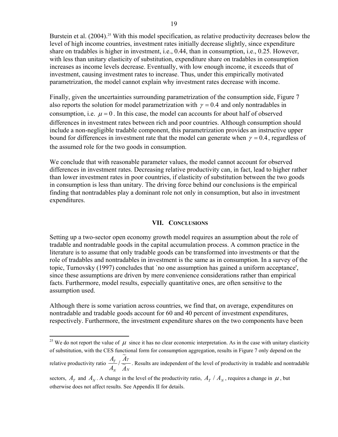Burstein et al. (2004).<sup>25</sup> With this model specification, as relative productivity decreases below the level of high income countries, investment rates initially decrease slightly, since expenditure share on tradables is higher in investment, i.e., 0.44, than in consumption, i.e., 0.25. However, with less than unitary elasticity of substitution, expenditure share on tradables in consumption increases as income levels decrease. Eventually, with low enough income, it exceeds that of investment, causing investment rates to increase. Thus, under this empirically motivated parametrization, the model cannot explain why investment rates decrease with income.

Finally, given the uncertainties surrounding parametrization of the consumption side, Figure 7 also reports the solution for model parametrization with  $\gamma = 0.4$  and only nontradables in consumption, i.e.  $\mu = 0$ . In this case, the model can accounts for about half of observed differences in investment rates between rich and poor countries. Although consumption should include a non-negligible tradable component, this parametrization provides an instructive upper bound for differences in investment rate that the model can generate when  $\gamma = 0.4$ , regardless of the assumed role for the two goods in consumption.

We conclude that with reasonable parameter values, the model cannot account for observed differences in investment rates. Decreasing relative productivity can, in fact, lead to higher rather than lower investment rates in poor countries, if elasticity of substitution between the two goods in consumption is less than unitary. The driving force behind our conclusions is the empirical finding that nontradables play a dominant role not only in consumption, but also in investment expenditures.

#### **VII. CONCLUSIONS**

Setting up a two-sector open economy growth model requires an assumption about the role of tradable and nontradable goods in the capital accumulation process. A common practice in the literature is to assume that only tradable goods can be transformed into investments or that the role of tradables and nontradables in investment is the same as in consumption. In a survey of the topic, Turnovsky (1997) concludes that `no one assumption has gained a uniform acceptance', since these assumptions are driven by mere convenience considerations rather than empirical facts. Furthermore, model results, especially quantitative ones, are often sensitive to the assumption used.

Although there is some variation across countries, we find that, on average, expenditures on nontradable and tradable goods account for 60 and 40 percent of investment expenditures, respectively. Furthermore, the investment expenditure shares on the two components have been

<sup>&</sup>lt;sup>25</sup> We do not report the value of  $\mu$  since it has no clear economic interpretation. As in the case with unitary elasticity of substitution, with the CES functional form for consumption aggregation, results in Figure 7 only depend on the

relative productivity ratio  $\frac{d}{dx}$  /  $\frac{d}{dx}$ <br>*N*  $\frac{d}{dx}$  $A_{\tau}$ <sup>*A*</sup>  $\frac{\Delta P}{A_N}$  /  $\frac{\Delta P}{\Delta N}$ . Results are independent of the level of productivity in tradable and nontradable

sectors,  $A_T$  and  $A_N$ . A change in the level of the productivity ratio,  $A_T / A_N$ , requires a change in  $\mu$ , but otherwise does not affect results. See Appendix II for details.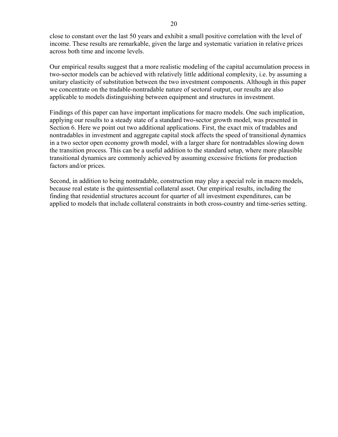close to constant over the last 50 years and exhibit a small positive correlation with the level of income. These results are remarkable, given the large and systematic variation in relative prices across both time and income levels.

Our empirical results suggest that a more realistic modeling of the capital accumulation process in two-sector models can be achieved with relatively little additional complexity, i.e. by assuming a unitary elasticity of substitution between the two investment components. Although in this paper we concentrate on the tradable-nontradable nature of sectoral output, our results are also applicable to models distinguishing between equipment and structures in investment.

Findings of this paper can have important implications for macro models. One such implication, applying our results to a steady state of a standard two-sector growth model, was presented in Section 6. Here we point out two additional applications. First, the exact mix of tradables and nontradables in investment and aggregate capital stock affects the speed of transitional dynamics in a two sector open economy growth model, with a larger share for nontradables slowing down the transition process. This can be a useful addition to the standard setup, where more plausible transitional dynamics are commonly achieved by assuming excessive frictions for production factors and/or prices.

Second, in addition to being nontradable, construction may play a special role in macro models, because real estate is the quintessential collateral asset. Our empirical results, including the finding that residential structures account for quarter of all investment expenditures, can be applied to models that include collateral constraints in both cross-country and time-series setting.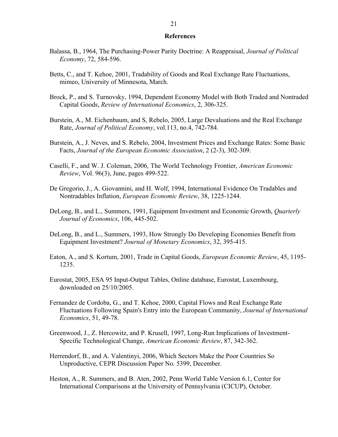## **References**

- Balassa, B., 1964, The Purchasing-Power Parity Doctrine: A Reappraisal, *Journal of Political Economy*, 72, 584-596.
- Betts, C., and T. Kehoe, 2001, Tradability of Goods and Real Exchange Rate Fluctuations, mimeo, University of Minnesota, March.
- Brock, P., and S. Turnovsky, 1994, Dependent Economy Model with Both Traded and Nontraded Capital Goods, *Review of International Economics*, 2, 306-325.
- Burstein, A., M. Eichenbaum, and S, Rebelo, 2005, Large Devaluations and the Real Exchange Rate, *Journal of Political Economy*, vol.113, no.4, 742-784.
- Burstein, A., J. Neves, and S. Rebelo, 2004, Investment Prices and Exchange Rates: Some Basic Facts, *Journal of the European Economic Association*, 2 (2-3), 302-309.
- Caselli, F., and W. J. Coleman, 2006, The World Technology Frontier, *American Economic Review*, Vol. 96(3), June, pages 499-522.
- De Gregorio, J., A. Giovannini, and H. Wolf, 1994, International Evidence On Tradables and Nontradables Inflation, *European Economic Review*, 38, 1225-1244.
- DeLong, B., and L., Summers, 1991, Equipment Investment and Economic Growth, *Quarterly Journal of Economics*, 106, 445-502.
- DeLong, B., and L., Summers, 1993, How Strongly Do Developing Economies Benefit from Equipment Investment? *Journal of Monetary Economics*, 32, 395-415.
- Eaton, A., and S. Kortum, 2001, Trade in Capital Goods, *European Economic Review*, 45, 1195- 1235.
- Eurostat, 2005, ESA 95 Input-Output Tables, Online database, Eurostat, Luxembourg, downloaded on 25/10/2005.
- Fernandez de Cordoba, G., and T. Kehoe, 2000, Capital Flows and Real Exchange Rate Fluctuations Following Spain's Entry into the European Community, *Journal of International Economics*, 51, 49-78.
- Greenwood, J., Z. Hercowitz, and P. Krusell, 1997, Long-Run Implications of Investment-Specific Technological Change, *American Economic Review*, 87, 342-362.
- Herrendorf, B., and A. Valentinyi, 2006, Which Sectors Make the Poor Countries So Unproductive, CEPR Discussion Paper No. 5399, December.
- Heston, A., R. Summers, and B. Aten, 2002, Penn World Table Version 6.1, Center for International Comparisons at the University of Pennsylvania (CICUP), October.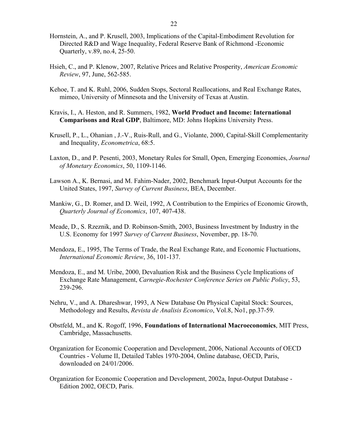- Hornstein, A., and P. Krusell, 2003, Implications of the Capital-Embodiment Revolution for Directed R&D and Wage Inequality, Federal Reserve Bank of Richmond -Economic Quarterly, v.89, no.4, 25-50.
- Hsieh, C., and P. Klenow, 2007, Relative Prices and Relative Prosperity, *American Economic Review*, 97, June, 562-585.
- Kehoe, T. and K. Ruhl, 2006, Sudden Stops, Sectoral Reallocations, and Real Exchange Rates, mimeo, University of Minnesota and the University of Texas at Austin.
- Kravis, I., A. Heston, and R. Summers, 1982, **World Product and Income: International Comparisons and Real GDP**, Baltimore, MD: Johns Hopkins University Press.
- Krusell, P., L., Ohanian , J.-V., Ruis-Rull, and G., Violante, 2000, Capital-Skill Complementarity and Inequality, *Econometrica*, 68:5.
- Laxton, D., and P. Pesenti, 2003, Monetary Rules for Small, Open, Emerging Economies, *Journal of Monetary Economics*, 50, 1109-1146.
- Lawson A., K. Bernasi, and M. Fahim-Nader, 2002, Benchmark Input-Output Accounts for the United States, 1997, *Survey of Current Business*, BEA, December.
- Mankiw, G., D. Romer, and D. Weil, 1992, A Contribution to the Empirics of Economic Growth, *Quarterly Journal of Economics*, 107, 407-438.
- Meade, D., S. Rzeznik, and D. Robinson-Smith, 2003, Business Investment by Industry in the U.S. Economy for 1997 *Survey of Current Business*, November, pp. 18-70.
- Mendoza, E., 1995, The Terms of Trade, the Real Exchange Rate, and Economic Fluctuations, *International Economic Review*, 36, 101-137.
- Mendoza, E., and M. Uribe, 2000, Devaluation Risk and the Business Cycle Implications of Exchange Rate Management, *Carnegie-Rochester Conference Series on Public Policy*, 53, 239-296.
- Nehru, V., and A. Dhareshwar, 1993, A New Database On Physical Capital Stock: Sources, Methodology and Results, *Revista de Analisis Economico*, Vol.8, No1, pp.37-59.
- Obstfeld, M., and K. Rogoff, 1996, **Foundations of International Macroeconomics**, MIT Press, Cambridge, Massachusetts.
- Organization for Economic Cooperation and Development, 2006, National Accounts of OECD Countries - Volume II, Detailed Tables 1970-2004, Online database, OECD, Paris, downloaded on 24/01/2006.
- Organization for Economic Cooperation and Development, 2002a, Input-Output Database Edition 2002, OECD, Paris.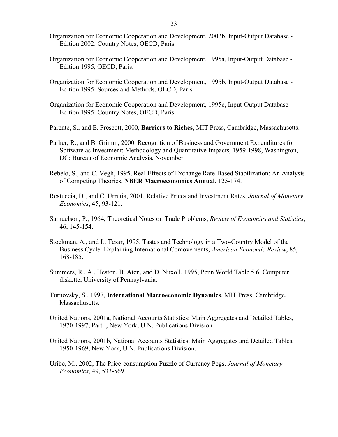- Organization for Economic Cooperation and Development, 2002b, Input-Output Database Edition 2002: Country Notes, OECD, Paris.
- Organization for Economic Cooperation and Development, 1995a, Input-Output Database Edition 1995, OECD, Paris.
- Organization for Economic Cooperation and Development, 1995b, Input-Output Database Edition 1995: Sources and Methods, OECD, Paris.
- Organization for Economic Cooperation and Development, 1995c, Input-Output Database Edition 1995: Country Notes, OECD, Paris.
- Parente, S., and E. Prescott, 2000, **Barriers to Riches**, MIT Press, Cambridge, Massachusetts.
- Parker, R., and B. Grimm, 2000, Recognition of Business and Government Expenditures for Software as Investment: Methodology and Quantitative Impacts, 1959-1998, Washington, DC: Bureau of Economic Analysis, November.
- Rebelo, S., and C. Vegh, 1995, Real Effects of Exchange Rate-Based Stabilization: An Analysis of Competing Theories, **NBER Macroeconomics Annual**, 125-174.
- Restuccia, D., and C. Urrutia, 2001, Relative Prices and Investment Rates, *Journal of Monetary Economics*, 45, 93-121.
- Samuelson, P., 1964, Theoretical Notes on Trade Problems, *Review of Economics and Statistics*, 46, 145-154.
- Stockman, A., and L. Tesar, 1995, Tastes and Technology in a Two-Country Model of the Business Cycle: Explaining International Comovements, *American Economic Review*, 85, 168-185.
- Summers, R., A., Heston, B. Aten, and D. Nuxoll, 1995, Penn World Table 5.6, Computer diskette, University of Pennsylvania.
- Turnovsky, S., 1997, **International Macroeconomic Dynamics**, MIT Press, Cambridge, Massachusetts.
- United Nations, 2001a, National Accounts Statistics: Main Aggregates and Detailed Tables, 1970-1997, Part I, New York, U.N. Publications Division.
- United Nations, 2001b, National Accounts Statistics: Main Aggregates and Detailed Tables, 1950-1969, New York, U.N. Publications Division.
- Uribe, M., 2002, The Price-consumption Puzzle of Currency Pegs, *Journal of Monetary Economics*, 49, 533-569.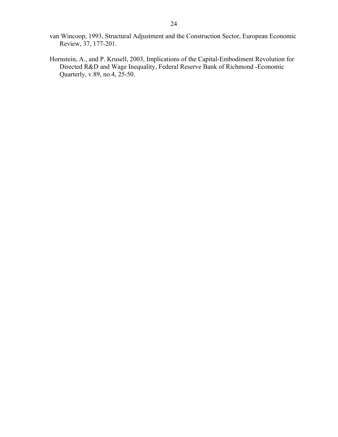- van Wincoop, 1993, Structural Adjustment and the Construction Sector, European Economic Review, 37, 177-201.
- Hornstein, A., and P. Krusell, 2003, Implications of the Capital-Embodiment Revolution for Directed R&D and Wage Inequality, Federal Reserve Bank of Richmond -Economic Quarterly, v.89, no.4, 25-50.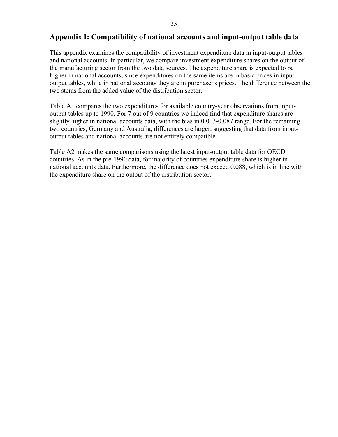## **Appendix I: Compatibility of national accounts and input-output table data**

This appendix examines the compatibility of investment expenditure data in input-output tables and national accounts. In particular, we compare investment expenditure shares on the output of the manufacturing sector from the two data sources. The expenditure share is expected to be higher in national accounts, since expenditures on the same items are in basic prices in inputoutput tables, while in national accounts they are in purchaser's prices. The difference between the two stems from the added value of the distribution sector.

Table A1 compares the two expenditures for available country-year observations from inputoutput tables up to 1990. For 7 out of 9 countries we indeed find that expenditure shares are slightly higher in national accounts data, with the bias in 0.003-0.087 range. For the remaining two countries, Germany and Australia, differences are larger, suggesting that data from inputoutput tables and national accounts are not entirely compatible.

Table A2 makes the same comparisons using the latest input-output table data for OECD countries. As in the pre-1990 data, for majority of countries expenditure share is higher in national accounts data. Furthermore, the difference does not exceed 0.088, which is in line with the expenditure share on the output of the distribution sector.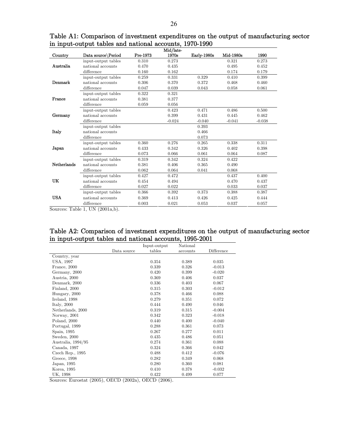|                    |                                      |          | Mid/late- |             |           |          |
|--------------------|--------------------------------------|----------|-----------|-------------|-----------|----------|
| Country            | Data source\Period                   | Pre-1973 | 1970s     | Early-1980s | Mid-1980s | 1990     |
|                    | input-output tables                  | 0.310    | 0.273     |             | 0.321     | 0.273    |
| Australia          | national accounts                    | 0.470    | 0.435     |             | 0.495     | 0.452    |
|                    | difference                           | 0.160    | 0.162     |             | 0.174     | 0.179    |
|                    | $\operatorname{input-output}$ tables | 0.259    | 0.331     | 0.329       | 0.410     | 0.399    |
| Denmark            | national accounts                    | 0.306    | 0.370     | 0.372       | 0.468     | 0.460    |
|                    | difference                           | 0.047    | 0.039     | 0.043       | 0.058     | 0.061    |
|                    | input-output tables                  | 0.322    | 0.321     |             |           |          |
| France             | national accounts                    | 0.381    | 0.377     |             |           |          |
|                    | difference                           | 0.059    | 0.056     |             |           |          |
|                    | input-output tables                  |          | 0.423     | 0.471       | 0.486     | 0.500    |
| Germany            | national accounts                    |          | 0.399     | 0.431       | 0.445     | 0.462    |
|                    | difference                           |          | $-0.024$  | $-0.040$    | $-0.041$  | $-0.038$ |
|                    | input-output tables                  |          |           | 0.393       |           |          |
| Italy              | national accounts                    |          |           | 0.466       |           |          |
|                    | difference                           |          |           | 0.073       |           |          |
|                    | input-output tables                  | 0.360    | 0.276     | 0.265       | 0.338     | 0.311    |
| Japan              | national accounts                    | 0.433    | 0.342     | 0.326       | 0.402     | 0.398    |
|                    | difference                           | 0.073    | 0.066     | 0.061       | 0.064     | 0.087    |
|                    | input-output tables                  | 0.319    | 0.342     | 0.324       | 0.422     |          |
| <b>Netherlands</b> | national accounts                    | 0.381    | 0.406     | 0.365       | 0.490     |          |
|                    | difference                           | 0.062    | 0.064     | 0.041       | 0.068     |          |
|                    | input-output tables                  | 0.427    | 0.472     |             | 0.437     | 0.400    |
| UK                 | national accounts                    | 0.454    | 0.494     |             | 0.470     | 0.437    |
|                    | difference                           | 0.027    | 0.022     |             | 0.033     | 0.037    |
|                    | input-output tables                  | 0.366    | 0.392     | 0.373       | 0.388     | 0.387    |
| <b>USA</b>         | national accounts                    | 0.369    | 0.413     | 0.426       | 0.425     | 0.444    |
|                    | difference                           | 0.003    | 0.021     | 0.053       | 0.037     | 0.057    |

Table A1: Comparison of investment expenditures on the output of manufacturing sector in input-output tables and national accounts, 1970-1990

Sources: Table 1, UN (2001a,b).

## Table A2: Comparison of investment expenditures on the output of manufacturing sector in input-output tables and national accounts, 1995-2001

|                    |             | Input-output | National |            |
|--------------------|-------------|--------------|----------|------------|
|                    | Data source | tables       | accounts | Difference |
| Country, year      |             |              |          |            |
| USA, 1997          |             | 0.354        | 0.389    | 0.035      |
| France, 2000       |             | 0.339        | 0.326    | $-0.013$   |
| Germany, 2000      |             | 0.420        | 0.399    | $-0.020$   |
| Austria, 2000      |             | 0.369        | 0.406    | 0.037      |
| Denmark, 2000      |             | 0.336        | 0.403    | 0.067      |
| Finland, 2000      |             | 0.315        | 0.303    | $-0.012$   |
| Hungary, 2000      |             | 0.378        | 0.466    | 0.088      |
| Ireland, 1998      |             | 0.279        | 0.351    | 0.072      |
| Italy, $2000$      |             | 0.444        | 0.490    | 0.046      |
| Netherlands, 2000  |             | 0.319        | 0.315    | $-0.004$   |
| Norway, 2001       |             | 0.342        | 0.323    | $-0.018$   |
| Poland, 2000       |             | 0.440        | 0.400    | $-0.040$   |
| Portugal, 1999     |             | 0.288        | 0.361    | 0.073      |
| Spain, 1995        |             | 0.267        | 0.277    | 0.011      |
| Sweden, 2000       |             | 0.435        | 0.486    | 0.051      |
| Australia, 1994/95 |             | 0.274        | 0.361    | 0.088      |
| Canada, 1997       |             | 0.324        | 0.366    | 0.042      |
| Czech Rep., $1995$ |             | 0.488        | 0.412    | $-0.076$   |
| Greece, 1998       |             | 0.282        | 0.349    | 0.068      |
| Japan, 1995        |             | 0.280        | 0.360    | 0.081      |
| Korea, 1995        |             | 0.410        | 0.378    | $-0.032$   |
| UK. 1998           |             | 0.422        | 0.499    | 0.077      |

Sources: Eurostat (2005), OECD (2002a), OECD (2006).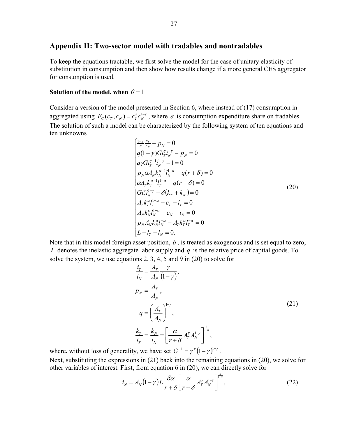## **Appendix II: Two-sector model with tradables and nontradables**

To keep the equations tractable, we first solve the model for the case of unitary elasticity of substitution in consumption and then show how results change if a more general CES aggregator for consumption is used.

#### **Solution of the model, when**  $\theta = 1$

Consider a version of the model presented in Section 6, where instead of (17) consumption in aggregated using  $F_c(c_r, c_N) = c_r^{\varepsilon} c_N^{1-\varepsilon}$ , where  $\varepsilon$  is consumption expenditure share on tradables. The solution of such a model can be characterized by the following system of ten equations and ten unknowns

$$
\begin{cases}\n\frac{1-\varepsilon}{\varepsilon} \frac{c_T}{c_N} - p_N = 0 \\
q(1-\gamma) G i_T^{\gamma} i_N^{-\gamma} - p_N = 0 \\
q \gamma G i_T^{\gamma-1} i_N^{1-\gamma} - 1 = 0 \\
p_N \alpha A_N k_N^{\alpha-1} l_N^{1-\alpha} - q(r+\delta) = 0 \\
\alpha A_T k_T^{\alpha-1} l_T^{1-\alpha} - q(r+\delta) = 0 \\
G i_T^{\gamma} i_N^{1-\gamma} - \delta(k_T + k_N) = 0 \\
A_T k_T^{\alpha} l_T^{-\alpha} - c_T - i_T = 0 \\
A_N k_N^{\alpha} l_N^{-\alpha} - c_N - i_N = 0 \\
p_N A_N k_N^{\alpha} l_N^{-\alpha} - A_T k_T^{\alpha} l_T^{-\alpha} = 0 \\
L - l_T - l_N = 0.\n\end{cases} (20)
$$

Note that in this model foreign asset position, *b* , is treated as exogenous and is set equal to zero, *L* denotes the inelastic aggregate labor supply and  $q$  is the relative price of capital goods. To solve the system, we use equations 2, 3, 4, 5 and 9 in (20) to solve for

$$
\frac{i_{T}}{i_{N}} = \frac{A_{T}}{A_{N}} \frac{\gamma}{(1-\gamma)},
$$
\n
$$
p_{N} = \frac{A_{T}}{A_{N}},
$$
\n
$$
q = \left(\frac{A_{T}}{A_{N}}\right)^{1-\gamma},
$$
\n
$$
\frac{k_{T}}{l_{T}} = \frac{k_{N}}{l_{N}} = \left[\frac{\alpha}{r+\delta} A_{T}^{\gamma} A_{N}^{1-\gamma}\right]^{\frac{1}{1-\alpha}},
$$
\n(21)

where, without loss of generality, we have set  $G^{-1} = \gamma^{\gamma} (1 - \gamma)^{1 - \gamma}$ .

Next, substituting the expressions in (21) back into the remaining equations in (20), we solve for other variables of interest. First, from equation 6 in (20), we can directly solve for

$$
i_N = A_N (1 - \gamma) L \frac{\delta \alpha}{r + \delta} \left[ \frac{\alpha}{r + \delta} A^{\gamma}_T A^{1 - \gamma}_N \right]^{\frac{\alpha}{1 - \alpha}},
$$
 (22)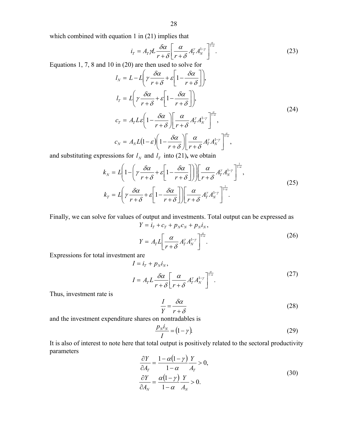which combined with equation 1 in (21) implies that

$$
i_{T} = A_{T} \gamma L \frac{\delta \alpha}{r + \delta} \left[ \frac{\alpha}{r + \delta} A_{T}^{y} A_{N}^{1-y} \right]^{\frac{\alpha}{1-\alpha}}.
$$
 (23)

Equations 1, 7, 8 and 10 in (20) are then used to solve for

$$
l_{N} = L - L \left( \gamma \frac{\delta \alpha}{r + \delta} + \varepsilon \left[ 1 - \frac{\delta \alpha}{r + \delta} \right] \right),
$$
  
\n
$$
l_{T} = L \left( \gamma \frac{\delta \alpha}{r + \delta} + \varepsilon \left[ 1 - \frac{\delta \alpha}{r + \delta} \right] \right),
$$
  
\n
$$
c_{T} = A_{T} L \varepsilon \left( 1 - \frac{\delta \alpha}{r + \delta} \right) \left[ \frac{\alpha}{r + \delta} A_{T}^{\gamma} A_{N}^{1 - \gamma} \right]_{-\alpha}^{\alpha},
$$
  
\n
$$
c_{N} = A_{N} L (1 - \varepsilon) \left( 1 - \frac{\delta \alpha}{r + \delta} \right) \left[ \frac{\alpha}{r + \delta} A_{T}^{\gamma} A_{N}^{1 - \gamma} \right]_{-\alpha}^{\alpha},
$$
\n(24)

and substituting expressions for  $l_N$  and  $l_T$  into (21), we obtain

$$
k_N = L \left( 1 - \left( \gamma \frac{\delta \alpha}{r + \delta} + \varepsilon \left[ 1 - \frac{\delta \alpha}{r + \delta} \right] \right) \right) \left[ \frac{\alpha}{r + \delta} A^{\gamma}_r A^{\frac{1}{r}}_N \right]^{\frac{1}{1 - \alpha}},
$$
  
\n
$$
k_T = L \left( \gamma \frac{\delta \alpha}{r + \delta} + \varepsilon \left[ 1 - \frac{\delta \alpha}{r + \delta} \right] \right) \left[ \frac{\alpha}{r + \delta} A^{\gamma}_r A^{\frac{1}{r}}_N \right]^{\frac{1}{1 - \alpha}}.
$$
\n(25)

Finally, we can solve for values of output and investments. Total output can be expressed as  $Y = i_T + c_T + p_N c_N + p_N i_N,$ 

$$
Y = A_r L \left[ \frac{\alpha}{r + \delta} A_r^{\gamma} A_N^{1-\gamma} \right]_{-\alpha}^{\frac{\alpha}{1-\alpha}}.
$$
 (26)

Expressions for total investment are

$$
I = iT + pNiN,
$$
  
\n
$$
I = ATL \frac{\delta \alpha}{r + \delta} \left[ \frac{\alpha}{r + \delta} AT\mu AN\mu \right]^{1-\alpha}.
$$
 (27)

Thus, investment rate is

$$
\frac{I}{Y} = \frac{\delta \alpha}{r + \delta} \tag{28}
$$

and the investment expenditure shares on nontradables is

$$
\frac{p_N i_N}{I} = (1 - \gamma). \tag{29}
$$

It is also of interest to note here that total output is positively related to the sectoral productivity parameters

$$
\frac{\partial Y}{\partial A_T} = \frac{1 - \alpha (1 - \gamma)}{1 - \alpha} \frac{Y}{A_T} > 0,
$$
  
\n
$$
\frac{\partial Y}{\partial A_N} = \frac{\alpha (1 - \gamma)}{1 - \alpha} \frac{Y}{A_N} > 0.
$$
\n(30)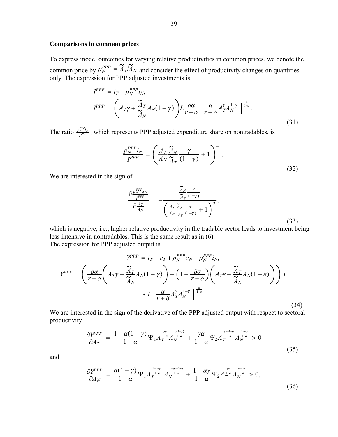#### **Comparisons in common prices**

To express model outcomes for varying relative productivities in common prices, we denote the common price by  $p_N^{PPP} = A_T/A_N$  and consider the effect of productivity changes on quantities only. The expression for PPP adjusted investments is

$$
I^{PPP} = i_T + p_N^{PPP} i_N,
$$
  
\n
$$
I^{PPP} = \left(A_T \gamma + \frac{\tilde{A}_T}{\tilde{A}_N} A_N (1 - \gamma)\right) L \frac{\delta \alpha}{r + \delta} \left[\frac{\alpha}{r + \delta} A_T^{\gamma} A_N^{1 - \gamma}\right]^{\frac{\alpha}{1 - \alpha}}.
$$
\n(31)

The ratio  $\frac{p_N^{PPP}}{I^{PPP}}$ , which represents PPP adjusted expenditure share on nontradables, is

$$
\frac{p_N^{PPP}i_N}{I^{PPP}} = \left(\frac{A_T}{A_N}\frac{\tilde{A}_N}{\tilde{A}_T}\frac{\gamma}{(1-\gamma)} + 1\right)^{-1}.\tag{32}
$$

We are interested in the sign of

$$
\frac{\partial \frac{p_N^{PPP_{X_N}}}{I^{PPP}}}{\partial \frac{A_T}{A_N}} = -\frac{\frac{\widetilde{A}_N}{\widetilde{A}_T} \frac{\gamma}{(1-\gamma)}}{\left(\frac{A_T}{A_N} \frac{\widetilde{A}_N}{\widetilde{A}_T} \frac{\gamma}{(1-\gamma)} + 1\right)^2},\tag{33}
$$

which is negative, i.e., higher relative productivity in the tradable sector leads to investment being less intensive in nontradables. This is the same result as in (6). The expression for PPP adjusted output is

$$
Y^{PPP} = i_T + c_T + p_N^{PPP} c_N + p_N^{PPP} i_N,
$$
  
\n
$$
Y^{PPP} = \left(\frac{\delta \alpha}{r + \delta} \left(A_T \gamma + \frac{\tilde{A}_T}{\tilde{A}_N} A_N (1 - \gamma)\right) + \left(1 - \frac{\delta \alpha}{r + \delta} \right) \left(A_T \varepsilon + \frac{\tilde{A}_T}{\tilde{A}_N} A_N (1 - \varepsilon)\right)\right) * L\left[\frac{\alpha}{r + \delta} A_T^{\gamma} A_N^{1 - \gamma}\right]^{\frac{\alpha}{1 - \alpha}}.
$$
\n(34)

We are interested in the sign of the derivative of the PPP adjusted output with respect to sectoral productivity

$$
\frac{\partial Y^{PPP}}{\partial A_T} = \frac{1 - \alpha(1 - \gamma)}{1 - \alpha} \Psi_1 A_T^{\frac{\gamma \alpha}{1 - \alpha}} A_N^{\frac{\alpha(1 - \gamma)}{1 - \alpha}} + \frac{\gamma \alpha}{1 - \alpha} \Psi_2 A_T^{\frac{\gamma \alpha - 1 + \alpha}{1 - \alpha}} A_N^{\frac{1 - \alpha \gamma}{1 - \alpha}} > 0 \tag{35}
$$

and

$$
\frac{\partial Y^{PPP}}{\partial A_N} = \frac{\alpha(1-\gamma)}{1-\alpha} \Psi_1 A_T^{\frac{1-\alpha+\gamma\alpha}{1-\alpha}} A_N^{\frac{\alpha-\alpha\gamma-1+\alpha}{1-\alpha}} + \frac{1-\alpha\gamma}{1-\alpha} \Psi_2 A_T^{\frac{\gamma\alpha}{1-\alpha}} A_N^{\frac{\alpha-\alpha\gamma}{1-\alpha}} > 0,\tag{36}
$$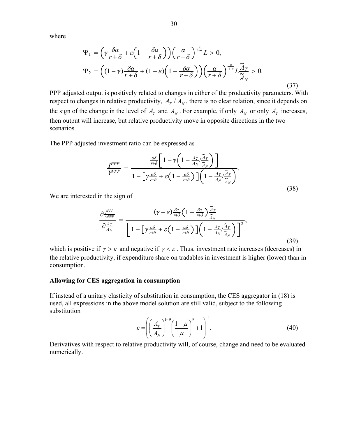where

$$
\Psi_1 = \left(\gamma \frac{\delta \alpha}{r + \delta} + \varepsilon \left(1 - \frac{\delta \alpha}{r + \delta}\right)\right) \left(\frac{\alpha}{r + \delta}\right)^{\frac{\alpha}{1 - \alpha}} L > 0,
$$
  

$$
\Psi_2 = \left((1 - \gamma) \frac{\delta \alpha}{r + \delta} + (1 - \varepsilon) \left(1 - \frac{\delta \alpha}{r + \delta}\right)\right) \left(\frac{\alpha}{r + \delta}\right)^{\frac{\alpha}{1 - \alpha}} L \frac{\tilde{A}_T}{\tilde{A}_N} > 0.
$$
 (37)

PPP adjusted output is positively related to changes in either of the productivity parameters. With respect to changes in relative productivity,  $A_T / A_N$ , there is no clear relation, since it depends on the sign of the change in the level of  $A_T$  and  $A_N$ . For example, if only  $A_N$  or only  $A_T$  increases, then output will increase, but relative productivity move in opposite directions in the two scenarios.

The PPP adjusted investment ratio can be expressed as

$$
\frac{I^{PPP}}{Y^{PPP}} = \frac{\frac{a\delta}{r+\delta} \left[1 - \gamma \left(1 - \frac{A_T}{A_N} / \frac{\tilde{A}_T}{\tilde{A}_N}\right)\right]}{1 - \left[\gamma \frac{a\delta}{r+\delta} + \varepsilon \left(1 - \frac{a\delta}{r+\delta}\right)\right] \left(1 - \frac{A_T}{A_N} / \frac{\tilde{A}_T}{\tilde{A}_N}\right)}.
$$
\n(38)

We are interested in the sign of

$$
\frac{\partial \frac{I^{PPP}}{Y^{PPP}}}{\partial \frac{A_T}{A_N}} = \frac{(\gamma - \varepsilon) \frac{\delta \alpha}{r + \delta} \left(1 - \frac{\delta \alpha}{r + \delta}\right) \frac{A_T}{\widetilde{A}_N}}{\left[1 - \left[\gamma \frac{\alpha \delta}{r + \delta} + \varepsilon \left(1 - \frac{\alpha \delta}{r + \delta}\right)\right] \left(1 - \frac{A_T}{A_N} / \frac{\widetilde{A}_T}{\widetilde{A}_N}\right)\right]^2},\tag{39}
$$

which is positive if  $\gamma > \varepsilon$  and negative if  $\gamma < \varepsilon$ . Thus, investment rate increases (decreases) in the relative productivity, if expenditure share on tradables in investment is higher (lower) than in consumption.

#### **Allowing for CES aggregation in consumption**

If instead of a unitary elasticity of substitution in consumption, the CES aggregator in (18) is used, all expressions in the above model solution are still valid, subject to the following substitution

$$
\varepsilon = \left( \left( \frac{A_T}{A_N} \right)^{1-\theta} \left( \frac{1-\mu}{\mu} \right)^{\theta} + 1 \right)^{-1} . \tag{40}
$$

Derivatives with respect to relative productivity will, of course, change and need to be evaluated numerically.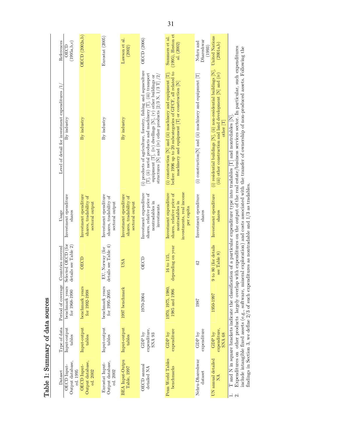Table 1: Summary of data sources Table 1: Summary of data sources

| References                                      | (1995a,b,c)<br><b>OECD</b>                  | OECD (2002a,b)                                                     | Eurostat (2005)                                                    | Lawson et al.<br>(2002)                                            | OECD (2006)                                                                                                                                                                                                                                                     | $(1995)$ , Heston et<br>Summers et al.<br>al. (2002)                                                                                                                               | Dhareshwar<br>Nehru and<br>(1993)                          | <b>United Nations</b><br>(2001a,b)                                                                                                                      |                                                                                                                                                                                                                                                                                                                                                                                                                    |
|-------------------------------------------------|---------------------------------------------|--------------------------------------------------------------------|--------------------------------------------------------------------|--------------------------------------------------------------------|-----------------------------------------------------------------------------------------------------------------------------------------------------------------------------------------------------------------------------------------------------------------|------------------------------------------------------------------------------------------------------------------------------------------------------------------------------------|------------------------------------------------------------|---------------------------------------------------------------------------------------------------------------------------------------------------------|--------------------------------------------------------------------------------------------------------------------------------------------------------------------------------------------------------------------------------------------------------------------------------------------------------------------------------------------------------------------------------------------------------------------|
| Level of detail for investment expenditures /1, | By industry                                 | By industry                                                        | By industry                                                        | By industry                                                        | (i) products of agriculture, forestry, fishing and aquaculture<br>[T], (ii) metal products and machinery [T], (iii) transport<br>structures [N] and (iv) other products [2/3 N, 1/3 T] /2/<br>equipment $[T]$ , (iv) dwellings $[N]$ , $(v)$ other buildings or | (i) construction [N] and (ii) machinery and equipment $[T]$ ;<br>before 1996 up to 20 subcategories of GFCF, all related to<br>machinery and equipment $[T]$ or construction $[N]$ | (i) construction[N] and (ii) machinery and equipment $[T]$ | (i) residential buildings $[N]$ , (ii) non-residential buildings $[N]$ ,<br>(iii) other construction and land development $[N]$ and (iv)<br>other $ T $ | Expenditures on other products largely overlap with expenditures on the output of the real estate/business services sector. In particular, such expenditures<br>neral exploration) and costs associated with the transfer of ownership of non-produced assets. Following the<br>T and N in square brackets indicate the classification of a particular expenditure type into tradables $[T]$ and nontrdables $[N]$ |
| Usage                                           | Investment ependiture<br>$_{\rm shares}$    | Investment ependiture<br>shares, tradability of<br>sectoral output | Investment ependiture<br>shares, tradability of<br>sectoral output | Investment ependiture<br>shares, tradability of<br>sectoral output | Investment expenditure<br>shares, relative price of<br>nontradables in<br>investments                                                                                                                                                                           | investments, real income<br>Investment expenditure<br>shares, relative price of<br>nontradables in<br>per capita                                                                   | Investment ependiture<br>$_{\rm shares}$                   | Investment ependiture<br>$_{\rm sharg}$                                                                                                                 | findings in Section 3, we define $2/3$ of such expenditures as nontradable and $1/3$ as tradables                                                                                                                                                                                                                                                                                                                  |
| Countries covered                               | Selected OECD (for<br>details see Table 2)  | <b>OECD</b>                                                        | details see Table $4)$<br>EU, Norway (for                          | USA                                                                | OECD                                                                                                                                                                                                                                                            | depending on year<br>16 to 115.                                                                                                                                                    | 42                                                         | 9 to 80 (for details<br>see Table 8                                                                                                                     |                                                                                                                                                                                                                                                                                                                                                                                                                    |
| Period of coverage                              | benchmark years<br>for 1968-1990            | benchmark years<br>for 1992-1998                                   | benchmark years<br>$for 1995 - 2005$                               | 1997 benchmark                                                     | 1970-2004                                                                                                                                                                                                                                                       | 1970, 1975, 1980,<br>1985 and 1996                                                                                                                                                 | 1987                                                       | 1950-1997                                                                                                                                               | include intangible fixed assets (e.g., software, min                                                                                                                                                                                                                                                                                                                                                               |
| Type of data                                    | Input-output<br>tables                      | Input-output<br>tables                                             | Input-output<br>tables                                             | Input-output<br>tables                                             | expenditure,<br>${\rm GDP}$ by<br>SNA 93                                                                                                                                                                                                                        | expenditure<br>GDP by                                                                                                                                                              | expenditure<br>${\rm GDP~bv}$                              | expenditure,<br>GDP by<br><b>SNA 68</b>                                                                                                                 |                                                                                                                                                                                                                                                                                                                                                                                                                    |
| Dataset                                         | Output database,<br>OECD Input-<br>ed. 1995 | Output database,<br>OECD Input-<br>ed. 2002                        | Output database,<br>Eurostat Input-<br>ed. 2002                    | <b>BEA</b> Input-Outpu<br>Table, 1997                              | OECD annual<br>detailed NA                                                                                                                                                                                                                                      | Penn World Tables<br>benchmarks                                                                                                                                                    | Nehru-Dhareshwar<br>dataset                                | UN annual detailed<br>ÁN                                                                                                                                |                                                                                                                                                                                                                                                                                                                                                                                                                    |

31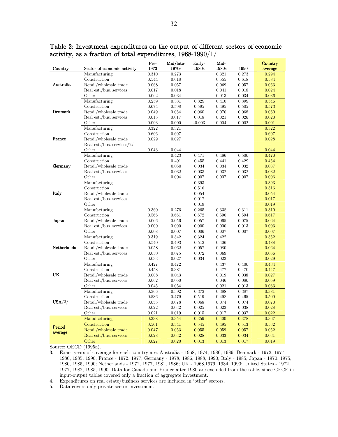| Country       | Sector of economic activity   | Pre-<br>1973   | Mid/late-<br>1970s | Early-<br>1980s | Mid-<br>1980s  | 1990  | Country<br>average |
|---------------|-------------------------------|----------------|--------------------|-----------------|----------------|-------|--------------------|
|               | Manufacturing                 | 0.310          | 0.273              |                 | 0.321          | 0.273 | 0.294              |
| Australia     | Construction                  | 0.544          | 0.618              |                 | 0.555          | 0.618 | 0.584              |
|               | Retail/wholesale trade        | 0.068          | 0.057              |                 | 0.069          | 0.057 | 0.063              |
|               | Real est./bus. services       | 0.017          | 0.018              |                 | 0.041          | 0.018 | 0.024              |
|               | Other                         | 0.062          | 0.034              |                 | 0.013          | 0.034 | 0.036              |
|               | Manufacturing                 | 0.259          | 0.331              | 0.329           | 0.410          | 0.399 | 0.346              |
|               | Construction                  | 0.674          | 0.598              | 0.595           | 0.495          | 0.505 | 0.573              |
| Denmark       | Retail/wholesale trade        | 0.049          | 0.054              | 0.060           | 0.070          | 0.068 | 0.060              |
|               | Real est./bus. services       | 0.015          | 0.017              | 0.018           | 0.021          | 0.026 | 0.020              |
|               | Other                         | 0.003          | 0.000              | $-0.003$        | 0.004          | 0.002 | 0.001              |
|               | Manufacturing                 | 0.322          | 0.321              |                 |                |       | 0.322              |
|               | Construction                  | 0.606          | 0.607              |                 |                |       | 0.607              |
| <b>France</b> | Retail/wholesale trade        | 0.029          | 0.027              |                 |                |       | 0.028              |
|               | Real est./bus. services/ $2/$ | $\overline{a}$ | $\overline{a}$     |                 |                |       | цL,                |
|               | Other                         | 0.043          | 0.044              |                 |                |       | 0.044              |
|               | Manufacturing                 |                | 0.423              | 0.471           | 0.486          | 0.500 | 0.470              |
|               | Construction                  |                | 0.491              | 0.455           | 0.441          | 0.429 | 0.454              |
| Germany       | Retail/wholesale trade        |                | 0.050              | 0.034           | 0.034          | 0.032 | 0.037              |
|               | Real est./bus. services       |                | 0.032              | 0.033           | 0.032          | 0.032 | 0.032              |
|               | Other                         |                | 0.004              | 0.007           | 0.007          | 0.007 | 0.006              |
|               | Manufacturing                 |                |                    | 0.393           |                |       | 0.393              |
|               | Construction                  |                |                    | 0.516           |                |       | 0.516              |
| Italy         | Retail/wholesale trade        |                |                    | 0.054           |                |       | 0.054              |
|               | Real est./bus. services       |                |                    | 0.017           |                |       | 0.017              |
|               | Other                         |                |                    | 0.019           |                |       | 0.019              |
|               | Manufacturing                 | 0.360          | 0.276              | 0.265           | 0.338          | 0.311 | 0.310              |
|               | Construction                  | 0.566          | 0.661              | 0.672           | 0.590          | 0.594 | 0.617              |
| Japan         | Retail/wholesale trade        | 0.066          | 0.056              | 0.057           | 0.065          | 0.075 | 0.064              |
|               | Real est./bus. services       | 0.000          | 0.000              | 0.000           | 0.000          | 0.013 | 0.003              |
|               | Other                         | 0.008          | 0.007              | 0.006           | 0.007          | 0.007 | 0.007              |
|               | Manufacturing                 | 0.319          | 0.342              | 0.324           | 0.422          |       | 0.352              |
|               | Construction                  | 0.540          | 0.493              | 0.513           | 0.406          |       | 0.488              |
| Netherlands   | Retail/wholesale trade        | 0.058          | 0.062              | 0.057           | 0.080          |       | 0.064              |
|               | Real est./bus. services       | 0.050          | 0.075              | 0.072           | 0.069          |       | 0.066              |
|               | Other<br>Manufacturing        | 0.033<br>0.427 | 0.027<br>0.472     | 0.034           | 0.023<br>0.437 | 0.400 | 0.029              |
|               | Construction                  | 0.458          | 0.381              |                 | 0.477          | 0.470 | 0.434<br>0.447     |
| UK            | Retail/wholesale trade        | 0.008          | 0.043              |                 | 0.019          | 0.038 | 0.027              |
|               | Real est./bus. services       | 0.062          | 0.050              |                 | 0.046          | 0.080 | 0.059              |
|               | Other                         | 0.045          | 0.054              |                 | 0.021          | 0.013 | 0.033              |
|               | Manufacturing                 | 0.366          | 0.392              | 0.373           | 0.388          | 0.387 | 0.381              |
|               | Construction                  | 0.536          | 0.479              | 0.519           | 0.498          | 0.465 | 0.500              |
| $USA/3/$      | Retail/wholesale trade        | 0.055          | 0.078              | 0.068           | 0.074          | 0.074 | 0.070              |
|               | Real est./bus. services       | 0.022          | 0.032              | 0.025           | 0.023          | 0.038 | 0.028              |
|               | Other                         | 0.021          | 0.019              | 0.015           | 0.017          | 0.037 | 0.022              |
|               | Manufacturing                 | 0.338          | 0.354              | 0.359           | 0.400          | 0.378 | 0.367              |
|               | Construction                  | 0.561          | 0.541              | 0.545           | 0.495          | 0.513 | 0.532              |
| Period        | Retail/wholesale trade        | 0.047          | 0.053              | 0.055           | 0.059          | 0.057 | 0.052              |
| average       | Real est /bus. services       | 0.028          | 0.032              | 0.028           | 0.033          | 0.034 | 0.031              |
|               | Other                         | 0.027          | 0.020              | 0.013           | 0.013          | 0.017 | 0.019              |

Table 2: Investment expenditures on the output of different sectors of economic activity, as a fraction of total expenditures, 1968-1990/1/

Source: OECD (1995a).

3. Exact years of coverage for each country are: Australia - 1968, 1974, 1986, 1989; Denmark - 1972, 1977, 1980, 1985, 1990; France - 1972, 1977; Germany - 1978, 1986, 1988, 1990; Italy - 1985; Japan - 1970, 1975, 1980, 1985, 1990; Netherlands - 1972, 1977, 1981, 1986; UK - 1968,1979, 1984, 1990; United States - 1972, 1977, 1982, 1985, 1990. Data for Canada and France after 1980 are excluded from the table, since GFCF in input-output tables covered only a fraction of aggregate investment.

4. Expenditures on real estate/business services are included in 'other' sectors.

5. Data covers only private sector investment.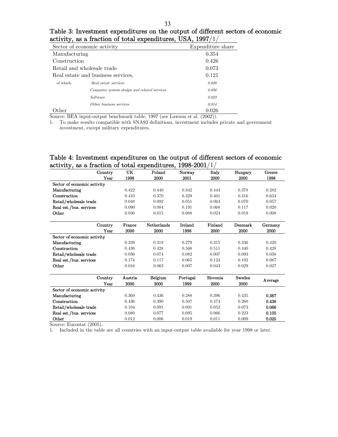| Table 3: Investment expenditures on the output of different sectors of economic |
|---------------------------------------------------------------------------------|
| activity, as a fraction of total expenditures, USA, $1997/1/$                   |

| . .<br>Sector of economic activity |                                             | Expenditure share |
|------------------------------------|---------------------------------------------|-------------------|
| Manufacturing                      |                                             | 0.354             |
| Construction                       |                                             | 0.426             |
| Retail and wholesale trade         |                                             | 0.073             |
| Real estate and business services, |                                             | 0.121             |
| of which:                          | Real estate services                        | 0.028             |
|                                    | Computer system design and related services | 0.056             |
|                                    | Software                                    | 0.023             |
|                                    | Other business services                     | 0.014             |
| .)ther                             |                                             | 0.026             |

Source: BEA input-output benchmark table, 1997 (see Lawson et al. (2002)).

1. To make results compatible with SNA93 definitions, investment includes private and government investment, except military expenditures.

## Table 4: Investment expenditures on the output of different sectors of economic activity, as a fraction of total expenditures, 1998-2001/1/

| Country                     | <b>UK</b> | Poland      | Norway   | Italy    | Hungary | Greece  |
|-----------------------------|-----------|-------------|----------|----------|---------|---------|
| Year                        | 1998      | 2000        | 2001     | 2000     | 2000    | 1998    |
| Sector of economic activity |           |             |          |          |         |         |
| Manufacturing               | 0.422     | 0.440       | 0.342    | 0.444    | 0.378   | 0.282   |
| Construction                | 0.410     | 0.370       | 0.329    | 0.401    | 0.416   | 0.634   |
| Retail/wholesale trade      | 0.048     | 0.092       | 0.051    | 0.063    | 0.070   | 0.057   |
| Real est./bus. services     | 0.090     | 0.084       | 0.191    | 0.068    | 0.117   | 0.020   |
| Other                       | 0.030     | 0.015       | 0.088    | 0.024    | 0.019   | 0.008   |
|                             |           |             |          |          |         |         |
| Country                     | France    | Netherlands | Ireland  | Finland  | Denmark | Germany |
| Year                        | 2000      | 2000        | 1998     | 2000     | 2000    | 2000    |
| Sector of economic activity |           |             |          |          |         |         |
| Manufacturing               | 0.339     | 0.319       | 0.279    | 0.315    | 0.336   | 0.420   |
| Construction                | 0.436     | 0.428       | 0.568    | 0.511    | 0.440   | 0.428   |
| Retail/wholesale trade      | 0.036     | 0.074       | 0.082    | 0.007    | 0.093   | 0.038   |
| Real est./bus. services     | 0.174     | 0.117       | 0.065    | 0.124    | 0.102   | 0.087   |
| Other                       | 0.016     | 0.063       | 0.007    | 0.043    | 0.029   | 0.027   |
|                             |           |             |          | Slovenia | Sweden  |         |
| Country                     | Austria   | Belgium     | Portugal |          |         | Average |
| Year                        | 2000      | 2000        | 1999     | 2000     | 2000    |         |
| Sector of economic activity |           |             |          |          |         |         |
| Manufacturing               | 0.369     | 0.436       | 0.288    | 0.396    | 0.435   | 0.367   |
| Construction                | 0.436     | 0.390       | 0.507    | 0.474    | 0.260   | 0.438   |
| Retail/wholesale trade      | 0.104     | 0.091       | 0.091    | 0.052    | 0.073   | 0.066   |
| Real est./bus. services     | 0.080     | 0.077       | 0.095    | 0.066    | 0.223   | 0.105   |
| Other                       | 0.012     | 0.006       | 0.019    | 0.011    | 0.009   | 0.025   |

Source: Eurostat (2005).

1. Included in the table are all countries with an input-output table available for year 1998 or later.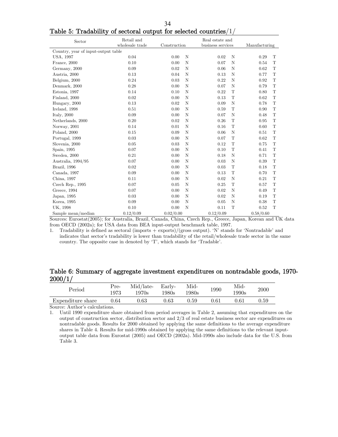| Sector                              | Retail and<br>wholesale trade | Construction        | Real estate and<br>business services | Manufacturing       |
|-------------------------------------|-------------------------------|---------------------|--------------------------------------|---------------------|
| Country, year of input-output table |                               |                     |                                      |                     |
| USA, 1997                           | 0.04                          | N<br>0.00           | N<br>0.02                            | 0.29<br>T           |
| France, 2000                        | 0.10                          | 0.00<br>N           | 0.07<br>$\mathbf N$                  | T<br>0.54           |
| Germany, 2000                       | 0.09                          | N<br>0.02           | N<br>0.06                            | $\mathbf T$<br>0.62 |
| Austria, 2000                       | 0.13                          | 0.04<br>N           | 0.13<br>N                            | $\mathbf T$<br>0.77 |
| Belgium, 2000                       | 0.24                          | N<br>0.03           | 0.22<br>$\mathbf N$                  | $\mathbf T$<br>0.92 |
| Denmark, 2000                       | 0.28                          | N<br>0.00           | $\mathbf N$<br>0.07                  | $\mathbf T$<br>0.79 |
| Estonia, 1997                       | 0.14                          | N<br>0.10           | $\mathbf T$<br>0.22                  | $\mathbf T$<br>0.80 |
| Finland, 2000                       | 0.02                          | N<br>0.00           | T<br>0.13                            | $\mathbf T$<br>0.62 |
| Hungary, 2000                       | 0.13                          | $\mathbb N$<br>0.02 | $\rm N$<br>0.09                      | T<br>0.78           |
| Ireland, 1998                       | $0.51\,$                      | 0.00<br>N           | $\mathbf T$<br>0.59                  | $\mathbf T$<br>0.90 |
| Italy, $2000$                       | 0.09                          | N<br>0.00           | N<br>0.07                            | T<br>0.48           |
| Netherlands, 2000                   | 0.20                          | 0.02<br>N           | T<br>0.26                            | $\mathbf T$<br>0.95 |
| Norway, 2001                        | 0.14                          | N<br>0.01           | $\mathbf T$<br>0.16                  | $\mathbf T$<br>0.60 |
| Poland, 2000                        | 0.15                          | N<br>0.09           | $\mathbf N$<br>0.06                  | $\mathbf T$<br>0.51 |
| Portugal, 1999                      | 0.03                          | $\mathbf N$<br>0.00 | $\mathbf T$<br>0.07                  | T<br>0.62           |
| Slovenia, 2000                      | 0.05                          | N<br>0.03           | $\mathbf T$<br>0.12                  | $\mathbf T$<br>0.75 |
| Spain, 1995                         | 0.07                          | N<br>0.00           | $\mathbf T$<br>0.10                  | T<br>0.41           |
| Sweden, 2000                        | 0.21                          | $\mathbb N$<br>0.00 | $\mathbf N$<br>0.18                  | $\mathbf T$<br>0.71 |
| Australia, 1994/95                  | 0.07                          | $\mathbb N$<br>0.00 | $\mathbf N$<br>0.03                  | $\mathbf T$<br>0.39 |
| Brazil, 1996                        | 0.02                          | N<br>0.00           | $\mathbf T$<br>0.03                  | T<br>0.18           |
| Canada, 1997                        | 0.09                          | N<br>0.00           | T<br>0.13                            | T<br>0.70           |
| China, 1997                         | 0.11                          | 0.00<br>N           | $\mathbf N$<br>0.02                  | $\mathbf T$<br>0.21 |
| Czech Rep., 1995                    | 0.07                          | N<br>0.05           | $\mathbf T$<br>0.25                  | T<br>0.57           |
| Greece, 1994                        | 0.07                          | $\mathbf N$<br>0.00 | $\mathbf N$<br>0.02                  | T<br>0.49           |
| Japan, 1995                         | 0.03                          | 0.00<br>N           | 0.02<br>$\mathbf N$                  | T<br>0.19           |
| Korea, 1995                         | 0.09                          | N<br>0.00           | N<br>0.05                            | $\mathbf T$<br>0.38 |
| UK, 1998                            | 0.10                          | 0.00<br>N           | $\mathbf T$<br>0.11                  | T<br>0.52           |
| Sample mean/median                  | 0.12/0.09                     | 0.02/0.00           | 0.12/0.09                            | 0.58/0.60           |

34 Table 5: Tradability of sectoral output for selected countries/1/

Sources: Eurostat(2005); for Australia, Brazil, Canada, China, Czech Rep., Greece, Japan, Korean and UK data from OECD (2002a); for USA data from BEA input-output benchmark table, 1997.

1. Tradability is defined as sectoral (imports + exports)/(gross output). 'N' stands for 'Nontradable' and indicates that sector's tradability is lower than tradability of the retail/wholesale trade sector in the same country. The opposite case in denoted by 'T', which stands for 'Tradable'.

## Table 6: Summary of aggregate investment expenditures on nontradable goods, 1970- 2000/1/

| Period            | Pre-<br>1973 | Mid/late-<br>$1970\mathrm{s}$ | Early-<br>1980s | Mid-<br>980s | 1990 | Mid-<br>1990s | $2000\,$   |
|-------------------|--------------|-------------------------------|-----------------|--------------|------|---------------|------------|
| Expenditure share | $\rm 0.64$   | J.63                          | 1.63            | ${0.59}$     | ).61 | 1.61          | $\rm 0.59$ |

Source: Author's calculations.

1. Until 1990 expenditure share obtained from period averages in Table 2, assuming that expenditures on the output of construction sector, distribution sector and 2/3 of real estate business sector are expenditures on nontradable goods. Results for 2000 obtained by applying the same definitions to the average expenditure shares in Table 4. Results for mid-1990s obtained by applying the same definitions to the relevant inputoutput table data from Eurostat (2005) and OECD (2002a). Mid-1990s also include data for the U.S. from Table 3.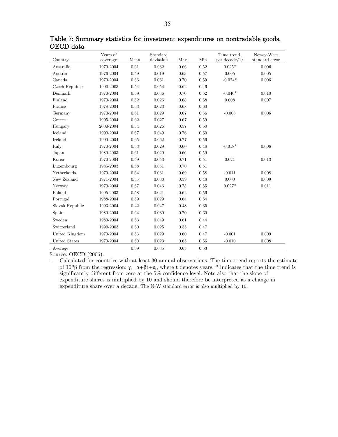|                 | Years of  |      | Standard  |      |      | Time trend,      | Newey-West     |
|-----------------|-----------|------|-----------|------|------|------------------|----------------|
| Country         | coverage  | Mean | deviation | Max  | Min  | per decade $/1/$ | standard error |
| Australia       | 1970-2004 | 0.61 | 0.032     | 0.66 | 0.52 | $0.025*$         | 0.006          |
| Austria         | 1976-2004 | 0.59 | 0.019     | 0.63 | 0.57 | 0.005            | 0.005          |
| Canada          | 1970-2004 | 0.66 | 0.031     | 0.70 | 0.59 | $-0.024*$        | 0.006          |
| Czech Republic  | 1990-2003 | 0.54 | 0.054     | 0.62 | 0.46 |                  |                |
| Denmark         | 1970-2004 | 0.59 | 0.056     | 0.70 | 0.52 | $-0.046*$        | 0.010          |
| Finland         | 1970-2004 | 0.62 | 0.026     | 0.68 | 0.58 | 0.008            | 0.007          |
| France          | 1978-2004 | 0.63 | 0.023     | 0.68 | 0.60 |                  |                |
| Germany         | 1970-2004 | 0.61 | 0.029     | 0.67 | 0.56 | $-0.008$         | 0.006          |
| Greece          | 1995-2004 | 0.62 | 0.027     | 0.67 | 0.59 |                  |                |
| Hungary         | 2000-2004 | 0.54 | 0.026     | 0.57 | 0.50 |                  |                |
| $\rm Iceland$   | 1990-2004 | 0.67 | 0.049     | 0.76 | 0.60 |                  |                |
| Ireland         | 1990-2004 | 0.65 | 0.062     | 0.77 | 0.56 |                  |                |
| Italy           | 1970-2004 | 0.53 | 0.029     | 0.60 | 0.48 | $-0.018*$        | 0.006          |
| Japan           | 1980-2003 | 0.61 | 0.020     | 0.66 | 0.59 |                  |                |
| Korea           | 1970-2004 | 0.59 | 0.053     | 0.71 | 0.51 | 0.021            | 0.013          |
| Luxembourg      | 1985-2003 | 0.58 | 0.051     | 0.70 | 0.51 |                  |                |
| Netherlands     | 1970-2004 | 0.64 | 0.031     | 0.69 | 0.58 | $-0.011$         | 0.008          |
| New Zealand     | 1971-2004 | 0.55 | 0.033     | 0.59 | 0.48 | 0.000            | 0.009          |
| Norway          | 1970-2004 | 0.67 | 0.046     | 0.75 | 0.55 | $0.027*$         | 0.011          |
| Poland          | 1995-2003 | 0.58 | 0.021     | 0.62 | 0.56 |                  |                |
| Portugal        | 1988-2004 | 0.59 | 0.029     | 0.64 | 0.54 |                  |                |
| Slovak Republic | 1993-2004 | 0.42 | 0.047     | 0.48 | 0.35 |                  |                |
| Spain           | 1980-2004 | 0.64 | 0.030     | 0.70 | 0.60 |                  |                |
| Sweden          | 1980-2004 | 0.53 | 0.049     | 0.61 | 0.44 |                  |                |
| Switzerland     | 1990-2003 | 0.50 | 0.025     | 0.55 | 0.47 |                  |                |
| United Kingdom  | 1970-2004 | 0.53 | 0.029     | 0.60 | 0.47 | $-0.001$         | 0.009          |
| United States   | 1970-2004 | 0.60 | 0.023     | 0.65 | 0.56 | $-0.010$         | 0.008          |
| Average         |           | 0.59 | 0.035     | 0.65 | 0.53 |                  |                |

Table 7: Summary statistics for investment expenditures on nontradable goods, OECD data

Source: OECD (2006).

1. Calculated for countries with at least 30 annual observations. The time trend reports the estimate of  $10^* \beta$  from the regression:  $\gamma_t = \alpha + \beta t + \varepsilon_t$ , where t denotes years. \* indicates that the time trend is significantly different from zero at the 5% confidence level. Note also that the slope of expenditure shares is multiplied by 10 and should therefore be interpreted as a change in expenditure share over a decade. The N-W standard error is also multiplied by 10.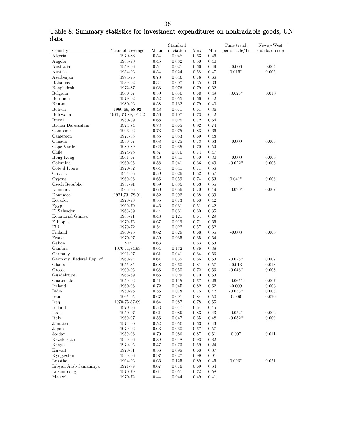|                          |                    |          | Standard  |            |            | Time trend,   | Newey-West     |
|--------------------------|--------------------|----------|-----------|------------|------------|---------------|----------------|
| Country                  | Years of coverage  | Mean     | deviation | Max        | Min        | per decade/1/ | standard error |
| Algeria                  | 1970-83            | 0.54     | 0.048     | 0.63       | 0.46       |               |                |
| Angola                   | 1985-90            | 0.45     | 0.032     | 0.50       | 0.40       |               |                |
| Australia                | 1959-96            | $0.54\,$ | 0.021     | 0.60       | 0.49       | $-0.006$      | 0.004          |
| Austria                  | 1954-96            | $0.54\,$ | 0.024     | 0.58       | 0.47       | $0.015*$      | 0.005          |
| Azerbaijan               | 1994-96            | 0.73     | 0.046     | 0.76       | 0.68       |               |                |
| Bahamas                  | 1989-92            | 0.34     | 0.007     | 0.35       | 0.33       |               |                |
| Bangladesh               | 1972-87            | 0.63     | 0.076     | 0.79       | $0.52\,$   |               |                |
| Belgium                  | 1960-97            | 0.59     | 0.050     | 0.68       | 0.49       | $-0.026*$     | 0.010          |
| Bermuda                  | 1979-92            | 0.52     | 0.055     | 0.66       | 0.42       |               |                |
| Bhutan                   | 1980-96            | 0.58     | 0.132     | 0.79       | 0.40       |               |                |
| Bolivia                  | 1960-69, 88-92     | 0.48     | 0.071     | 0.61       | $0.36\,$   |               |                |
| Botswana                 | 1971, 73-89, 91-92 | 0.56     | 0.107     | 0.73       | 0.42       |               |                |
| <b>Brazil</b>            | 1980-89            | 0.68     | 0.025     | 0.72       | 0.64       |               |                |
|                          |                    |          |           |            | 0.74       |               |                |
| Brunei Darussalam        | 1974-84            | 0.83     | 0.065     | 0.92       |            |               |                |
| Cambodia                 | 1993-96            | 0.73     | 0.075     | 0.83       | 0.66       |               |                |
| Cameroon                 | 1971-88            | 0.56     | 0.053     | 0.69       | 0.48       |               |                |
| Canada                   | 1950-97            | 0.68     | 0.025     | 0.73       | 0.63       | $-0.009$      | 0.005          |
| Cape Verde               | 1980-89            | 0.66     | 0.035     | 0.70       | $0.59\,$   |               |                |
| Chile                    | 1974-96            | 0.57     | 0.070     | 0.74       | 0.47       |               |                |
| Hong Kong                | 1961-97            | 0.40     | 0.041     | 0.50       | $0.30\,$   | $-0.000$      | 0.006          |
| Colombia                 | 1960-95            | 0.58     | 0.041     | 0.66       | 0.49       | $-0.022*$     | 0.005          |
| Cote d Ivoire            | 1970-82            | 0.64     | 0.041     | 0.71       | 0.58       |               |                |
| Croatia                  | 1994-96            | 0.59     | 0.026     | 0.62       | 0.57       |               |                |
| Cyprus                   | 1960-96            | 0.65     | 0.059     | 0.74       | 0.53       | $0.041*$      | 0.006          |
| Czech Republic           | 1987-91            | 0.59     | 0.035     | 0.63       | 0.55       |               |                |
| Denmark                  | 1966-95            | 0.60     | 0.066     | 0.70       | 0.49       | $-0.070*$     | 0.007          |
| Dominica                 | 1971, 73, 78-91    | 0.52     | 0.092     | 0.68       | 0.39       |               |                |
| Ecuador                  | 1970-93            | 0.55     | 0.073     | 0.68       | 0.42       |               |                |
| Egypt                    | 1960-79            | 0.46     | 0.031     | 0.51       | 0.42       |               |                |
| El Salvador              | 1963-89            | 0.44     | 0.061     | 0.60       | $0.35\,$   |               |                |
| Equatorial Guinea        | 1985-91            | 0.43     | 0.121     | 0.64       | 0.29       |               |                |
| Ethiopia                 | 1970-75            | 0.67     | 0.019     | 0.71       | 0.65       |               |                |
| Fiji                     | 1970-72            | 0.54     | 0.022     | 0.57       | $0.52\,$   |               |                |
| Finland                  | 1960-96            | 0.62     | 0.028     | 0.68       | 0.55       | $-0.008$      | 0.008          |
| France                   | 1970-97            | 0.59     | 0.035     | 0.65       | 0.54       |               |                |
| Gabon                    | 1974               | 0.63     |           | 0.63       | 0.63       |               |                |
| Gambia                   | 1970-71,74,93      | 0.64     | 0.132     | 0.86       | $0.38\,$   |               |                |
| Germany                  | 1991-97            | 0.61     | 0.041     | 0.64       | $\rm 0.53$ |               |                |
| Germany, Federal Rep. of | 1960-94            | 0.61     | 0.035     | 0.66       | $\rm 0.53$ | $-0.025*$     | 0.007          |
| Ghana                    | 1955-85            | 0.68     | 0.060     | 0.81       | 0.57       | $-0.013$      | 0.013          |
| Greece                   | 1960-95            | 0.63     | 0.050     | 0.72       | 0.53       | $-0.043*$     | 0.003          |
| Guadeloupe               | 1965-69            | 0.66     | 0.029     | 0.70       | 0.63       |               |                |
| Guatemala                | 1950-96            | 0.41     | 0.115     | 0.67       | $0.26\,$   | $-0.065*$     | 0.007          |
| Iceland                  | 1960-96            | 0.72     | 0.045     | 0.82       | 0.62       | $-0.009$      | 0.008          |
| India                    | 1950-96            | 0.56     | 0.078     | 0.75       | 0.42       | $-0.053*$     | 0.003          |
| Iran                     | 1965-95            | 0.67     | 0.091     | 0.84       | $0.50\,$   | 0.006         | $0.020\,$      |
| Iraq                     | 1970-75,87-89      | 0.64     | 0.087     | 0.78       | 0.55       |               |                |
| Ireland                  | 1970-96            | 0.53     | 0.047     | 0.64       | 0.45       |               |                |
| Israel                   | 1950-97            | 0.61     | 0.089     | 0.83       | 0.43       | $-0.052*$     | 0.006          |
| Italy                    | 1960-97            | $\,0.56$ | 0.047     | 0.65       | 0.48       | $-0.032*$     | 0.009          |
| Jamaica                  | 1974-90            | 0.52     | 0.050     | 0.63       | $0.43\,$   |               |                |
| Japan                    | 1970-96            | 0.63     | 0.030     | 0.67       | 0.57       |               |                |
| Jordan                   | 1959-96            | 0.70     | 0.086     | 0.87       | 0.51       | 0.007         | 0.011          |
| Kazakhstan               | 1990-96            | 0.89     | 0.048     | $\rm 0.93$ | 0.82       |               |                |
| Kenya                    | 1970-95            | 0.47     | 0.073     | 0.59       | 0.24       |               |                |
| Kuwait                   | 1970-81            | 0.56     | 0.098     | 0.68       | 0.37       |               |                |
| Kyrgyzstan               | 1990-96            | 0.97     | 0.027     | 0.99       | 0.91       |               |                |
| Lesotho                  | 1964-96            | 0.66     | 0.125     | 0.89       | 0.45       | $0.093*$      | 0.021          |
| Libyan Arab Jamahiriya   |                    | 0.67     | 0.016     |            |            |               |                |
|                          | 1971-79            |          |           | 0.69       | $0.64\,$   |               |                |
| Luxembourg               | 1970-79            | 0.64     | 0.051     | 0.72       | 0.58       |               |                |
| Malawi                   | 1970-72            | 0.44     | 0.044     | 0.49       | 0.41       |               |                |

Table 8: Summary statistics for investment expenditures on nontradable goods, UN data  $\overline{\phantom{0}}$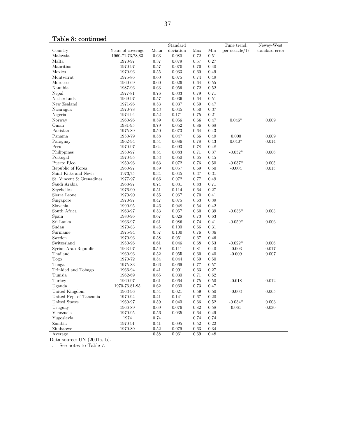# Table 8: continued

|                          |                   |      | Standard       |          |          | Time trend,   | Newey-West     |
|--------------------------|-------------------|------|----------------|----------|----------|---------------|----------------|
| Country                  | Years of coverage | Mean | deviation      | Max      | Min      | per decade/1/ | standard error |
| Malaysia                 | 1960-71,73,78,83  | 0.63 | 0.080          | $0.72\,$ | 0.51     |               |                |
| Malta                    | 1970-97           | 0.37 | 0.079          | 0.57     | 0.27     |               |                |
| Mauritius                | 1970-97           | 0.57 | 0.070          | 0.70     | 0.40     |               |                |
| Mexico                   | 1970-96           | 0.55 | 0.033          | 0.60     | 0.49     |               |                |
| Montserrat               | 1975-86           | 0.60 | 0.075          | 0.74     | 0.49     |               |                |
| Morocco                  | 1960-69           | 0.60 | 0.026          | 0.64     | 0.55     |               |                |
| Namibia                  | 1987-96           | 0.63 | 0.056          | 0.72     | 0.52     |               |                |
| Nepal                    | 1977-81           | 0.76 | 0.033          | 0.79     | 0.71     |               |                |
| Netherlands              | 1969-97           | 0.57 | 0.039          | 0.64     | 0.51     |               |                |
| New Zealand              | 1971-96           | 0.53 | 0.037          | 0.59     | 0.47     |               |                |
| Nicaragua                | 1970-78           | 0.43 | 0.045          | 0.50     | 0.37     |               |                |
| Nigeria                  | 1974-94           | 0.52 | 0.171          | 0.75     | 0.21     |               |                |
| Norway                   | 1960-96           | 0.59 | 0.056          | 0.66     | 0.47     | $0.046*$      | 0.009          |
| Oman                     | 1981-95           | 0.79 | 0.052          | $0.86\,$ | 0.68     |               |                |
| Pakistan                 | 1975-89           | 0.50 | 0.073          | 0.64     | 0.43     |               |                |
| Panama                   | 1950-79           | 0.58 | 0.047          | 0.66     | 0.49     | 0.000         | 0.009          |
| Paraguay                 | 1962-94           | 0.54 | 0.086          | 0.78     | 0.43     | $0.040*$      | 0.014          |
| Peru                     | 1970-97           | 0.64 | 0.093          | 0.78     | 0.48     |               |                |
| Philippines              | 1950-97           | 0.54 | 0.083          | 0.71     | 0.37     | $-0.032*$     | 0.006          |
| Portugal                 | 1970-95           | 0.53 | 0.050          | 0.65     | 0.45     |               |                |
| Puerto Rico              | 1950-96           | 0.63 | 0.072          | 0.76     | 0.50     | $-0.037*$     | 0.005          |
| Republic of Korea        | 1960-97           | 0.59 | 0.057          | 0.69     | $0.50\,$ | $-0.004$      | 0.015          |
| Saint Kitts and Nevis    | 1973,75           | 0.34 | 0.045          | 0.37     | 0.31     |               |                |
| St. Vincent & Grenadines | 1977-97           | 0.66 | 0.072          | 0.77     | 0.49     |               |                |
| Saudi Arabia             | 1963-97           | 0.74 | 0.031          | 0.83     | 0.71     |               |                |
| Seychelles               | 1976-90           | 0.51 | 0.114          | 0.64     | 0.27     |               |                |
| Sierra Leone             | 1970-90           | 0.55 | 0.067          | 0.70     | 0.41     |               |                |
| Singapore                | 1970-97           | 0.47 | 0.075          | 0.63     | 0.39     |               |                |
| Slovenia                 | 1990-95           | 0.46 | 0.048          | 0.54     | 0.42     |               |                |
| South Africa             | 1963-97           | 0.53 | 0.057          | 0.60     | 0.39     | $-0.036*$     | 0.003          |
| Spain                    | 1980-96           | 0.67 | 0.028          | 0.73     | 0.63     |               |                |
| Sri Lanka                | 1963-97           | 0.61 | 0.086          | 0.74     | 0.41     | $-0.059*$     | 0.006          |
| Sudan                    | 1970-83           | 0.46 | 0.100          | 0.66     | 0.31     |               |                |
| Suriname                 | 1975-94           | 0.57 | 0.100          | 0.76     | 0.36     |               |                |
| Sweden                   | 1970-96           | 0.58 | 0.051          | 0.67     | 0.46     |               |                |
| Switzerland              | 1950-96           | 0.61 | 0.046          | 0.68     | 0.53     | $-0.022*$     | 0.006          |
| Syrian Arab Republic     | 1963-97           | 0.59 | 0.111          | 0.81     | 0.40     | $-0.003$      | 0.017          |
| Thailand                 | 1960-96           | 0.52 | 0.055          | 0.60     | 0.40     | $-0.009$      | 0.007          |
| Togo                     | 1970-72           | 0.54 | 0.044          | 0.59     | 0.50     |               |                |
| Tonga                    | 1975-83           | 0.66 | 0.069          | 0.77     | 0.57     |               |                |
| Trinidad and Tobago      | 1966-94           | 0.41 | 0.091          | 0.63     | 0.27     |               |                |
| Tunisia                  | 1962-69           | 0.65 | 0.030          | 0.71     | 0.62     |               |                |
| Turkey                   | 1960-97           | 0.61 | 0.064          | 0.75     | $0.50\,$ | $-0.018$      | 0.012          |
|                          |                   | 0.62 | 0.060          | 0.73     | 0.47     |               |                |
| Uganda                   | 1970-76,81-95     |      | 0.021          |          |          |               |                |
| United Kingdom           | 1963-96           | 0.54 |                | 0.59     | 0.50     | $-0.003$      | 0.005          |
| United Rep. of Tanzania  | 1970-94           | 0.41 | 0.141<br>0.040 | 0.67     | $0.20\,$ |               |                |
| United States            | 1960-97           | 0.59 |                | 0.66     | 0.52     | $-0.034*$     | 0.003          |
| Uruguay                  | 1966-89           | 0.69 | 0.076          | $0.82\,$ | 0.58     | 0.061         | 0.030          |
| Venezuela                | 1970-95           | 0.56 | 0.035          | 0.64     | 0.49     |               |                |
| Yugoslavia               | 1974              | 0.74 |                | 0.74     | 0.74     |               |                |
| Zambia                   | 1970-91           | 0.41 | 0.095          | 0.52     | 0.22     |               |                |
| Zimbabwe                 | 1970-89           | 0.52 | 0.079          | 0.63     | $0.34\,$ |               |                |
| Average                  |                   | 0.58 | 0.061          | 0.69     | 0.48     |               |                |

Data source: UN (2001a, b).

1. See notes to Table 7.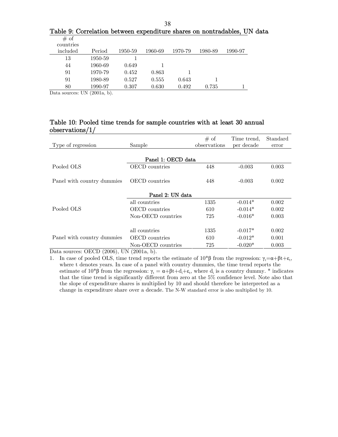|      |  |  | Table 9: Correlation between expenditure shares on nontradables, UN data |  |
|------|--|--|--------------------------------------------------------------------------|--|
| # օք |  |  |                                                                          |  |

| $\frac{1}{2}$<br>countries |         |         |         |         |         |         |
|----------------------------|---------|---------|---------|---------|---------|---------|
| included                   | Period  | 1950-59 | 1960-69 | 1970-79 | 1980-89 | 1990-97 |
| 13                         | 1950-59 |         |         |         |         |         |
| 44                         | 1960-69 | 0.649   |         |         |         |         |
| 91                         | 1970-79 | 0.452   | 0.863   |         |         |         |
| 91                         | 1980-89 | 0.527   | 0.555   | 0.643   |         |         |
| 80                         | 1990-97 | 0.307   | 0.630   | 0.492   | 0.735   |         |

Data sources: UN (2001a, b).

## Table 10: Pooled time trends for sample countries with at least 30 annual observations/1/

| Type of regression         | Sample                | # of<br>observations | Time trend.<br>per decade | Standard<br>error |
|----------------------------|-----------------------|----------------------|---------------------------|-------------------|
|                            | Panel 1: OECD data    |                      |                           |                   |
| Pooled OLS                 | <b>OECD</b> countries | 448                  | $-0.003$                  | 0.003             |
| Panel with country dummies | OECD countries        | 448                  | $-0.003$                  | 0.002             |
|                            | Panel 2: UN data      |                      |                           |                   |
|                            | all countries         | 1335                 | $-0.014*$                 | 0.002             |
| Pooled OLS                 | <b>OECD</b> countries | 610                  | $-0.014*$                 | 0.002             |
|                            | Non-OECD countries    | 725                  | $-0.016*$                 | 0.003             |
|                            | all countries         | 1335                 | $-0.017*$                 | 0.002             |
| Panel with country dummies | <b>OECD</b> countries | 610                  | $-0.012*$                 | 0.001             |
|                            | Non-OECD countries    | 725                  | $-0.020*$                 | 0.003             |

Data sources: OECD (2006), UN (2001a, b).

<sup>1.</sup> In case of pooled OLS, time trend reports the estimate of  $10^*β$  from the regression:  $γ_t = α + βt + ε_t$ , where t denotes years. In case of a panel with country dummies, the time trend reports the estimate of 10<sup>\*</sup>β from the regression:  $\gamma_t = \alpha + \beta t + d_i + \varepsilon_t$ , where  $d_i$  is a country dummy. <sup>\*</sup> indicates that the time trend is significantly different from zero at the 5% confidence level. Note also that the slope of expenditure shares is multiplied by 10 and should therefore be interpreted as a change in expenditure share over a decade. The N-W standard error is also multiplied by 10.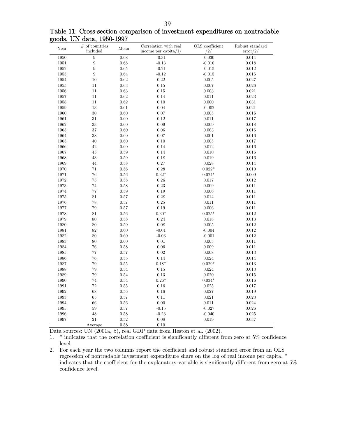|  |                           |  | Table 11: Cross-section comparison of investment expenditures on nontradable |  |
|--|---------------------------|--|------------------------------------------------------------------------------|--|
|  | goods, UN data, 1950-1997 |  |                                                                              |  |

| Year     | $\#$ of countries<br>included | Mean       | Correlation with real<br>income per capita/ $1/$ | OLS coefficient<br>/2/ | Robust standard<br>$\text{error}/2/$ |
|----------|-------------------------------|------------|--------------------------------------------------|------------------------|--------------------------------------|
| 1950     | 9                             | 0.68       | $-0.31$                                          | $-0.030$               | 0.014                                |
| $1951\,$ | $\overline{9}$                | 0.68       | $-0.13$                                          | $-0.010$               | 0.018                                |
| $1952\,$ | 9                             | 0.65       | $-0.21$                                          | $-0.015$               | 0.012                                |
| 1953     | $\boldsymbol{9}$              | 0.64       | $-0.12$                                          | $-0.015$               | 0.015                                |
|          |                               |            |                                                  |                        |                                      |
| 1954     | 10                            | $\rm 0.62$ | $0.22\,$                                         | 0.005                  | 0.027                                |
| 1955     | $11\,$                        | 0.63       | $0.15\,$                                         | 0.007                  | 0.026                                |
| 1956     | 11                            | $\,0.63\,$ | $0.15\,$                                         | 0.003                  | 0.021                                |
| 1957     | 11                            | 0.62       | 0.14                                             | 0.011                  | 0.023                                |
| 1958     | 11                            | 0.62       | 0.10                                             | 0.000                  | 0.031                                |
| 1959     | 13                            | 0.61       | 0.04                                             | $-0.002$               | 0.021                                |
| 1960     | 30                            | 0.60       | 0.07                                             | 0.005                  | 0.016                                |
| 1961     | 31                            | 0.60       | 0.12                                             | 0.011                  | 0.017                                |
| 1962     | $33\,$                        | 0.60       | 0.09                                             | 0.009                  | 0.018                                |
| 1963     | 37                            | 0.60       | $0.06\,$                                         | 0.003                  | 0.016                                |
| 1964     | 38                            | 0.60       | 0.07                                             | 0.001                  | 0.016                                |
| 1965     | 40                            | 0.60       | $0.10\,$                                         | 0.005                  | 0.017                                |
| 1966     | 42                            | 0.60       | 0.14                                             | 0.012                  | 0.016                                |
| 1967     | 43                            | 0.59       | $0.14\,$                                         | 0.010                  | 0.016                                |
| 1968     | 43                            | 0.59       | 0.18                                             | 0.019                  | 0.016                                |
| 1969     | 44                            | $\rm 0.58$ | $0.27\,$                                         | 0.028                  | 0.014                                |
| 1970     | 71                            | 0.56       | 0.28                                             | $0.022*$               | 0.010                                |
| 1971     | 76                            | $0.56\,$   | $0.32*$                                          | $0.024*$               | 0.009                                |
| 1972     | 73                            | 0.58       | 0.26                                             | 0.017                  | 0.012                                |
| 1973     | 74                            | 0.58       | $0.23\,$                                         | 0.009                  | 0.011                                |
| 1974     | 77                            | 0.59       | 0.19                                             | 0.006                  | 0.011                                |
| 1975     | 81                            | 0.57       | 0.28                                             | 0.014                  | 0.011                                |
| 1976     | 78                            | 0.57       | 0.25                                             | 0.011                  | 0.011                                |
| 1977     | 79                            | 0.57       | 0.19                                             | 0.006                  | 0.011                                |
| 1978     | 81                            | 0.56       | $0.30*$                                          | $0.025*$               | 0.012                                |
| 1979     | 80                            | 0.58       | $0.24\,$                                         | 0.018                  | 0.013                                |
| 1980     | 80                            | 0.59       | 0.08                                             | 0.005                  | 0.012                                |
| 1981     | 82                            | 0.60       | $-0.01$                                          | $-0.004$               | 0.012                                |
| 1982     | 80                            | 0.60       | $-0.03$                                          | $-0.001$               | $\rm 0.012$                          |
| 1983     | 80                            | 0.60       | 0.01                                             | 0.005                  | 0.011                                |
| 1984     | 76                            | 0.58       | 0.06                                             | 0.009                  | 0.011                                |
| 1985     | 77                            | 0.57       | 0.02                                             | 0.008                  | 0.013                                |
| 1986     | 76                            | 0.55       | 0.14                                             | 0.024                  | 0.014                                |
| 1987     | 79                            | 0.55       | $0.18*$                                          | $0.029*$               | 0.013                                |
| 1988     | 79                            | 0.54       | 0.15                                             | 0.024                  | 0.013                                |
| 1989     | 79                            | 0.54       | 0.13                                             | 0.020                  | 0.015                                |
| 1990     | 74                            | 0.54       | $0.26*$                                          | $0.034*$               | 0.016                                |
| 1991     | 72                            | 0.55       | 0.16                                             | 0.025                  | 0.017                                |
| 1992     | 68                            | 0.56       | $0.16\,$                                         | 0.027                  | 0.019                                |
| 1993     | 65                            | 0.57       | 0.11                                             | 0.021                  | 0.023                                |
| 1994     | 66                            | $0.56\,$   | $0.00\,$                                         | 0.011                  | 0.024                                |
| 1995     | 59                            | 0.57       | $-0.15$                                          | $-0.027$               | 0.026                                |
| 1996     | 48                            | $0.58\,$   | $-0.23$                                          | $-0.040$               | $\,0.025\,$                          |
| 1997     | 21                            | 0.52       | 0.08                                             | 0.019                  | 0.037                                |
|          | Average                       | 0.58       | 0.10                                             |                        |                                      |
|          |                               |            |                                                  |                        |                                      |

Data sources: UN (2001a, b), real GDP data from Heston et al. (2002).

1. \* indicates that the correlation coefficient is significantly different from zero at 5% confidence level.

2. For each year the two columns report the coefficient and robust standard error from an OLS regression of nontradable investment expenditure share on the log of real income per capita. \* indicates that the coefficient for the explanatory variable is significantly different from zero at 5% confidence level.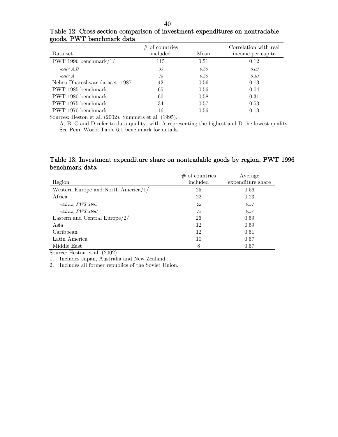| Data set                       | $\#$ of countries<br>included | Mean | Correlation with real<br>income per capita |
|--------------------------------|-------------------------------|------|--------------------------------------------|
| PWT 1996 benchmark $/1/$       | 115                           | 0.51 | 0.12                                       |
| -only $A,B$                    | 33                            | 0.56 | 0.03                                       |
| $\text{-}$ only $A$            | 18                            | 0.56 | 0.10                                       |
| Nehru-Dhareshwar dataset, 1987 | 42                            | 0.56 | 0.13                                       |
| PWT 1985 benchmark             | 65                            | 0.56 | 0.04                                       |
| PWT 1980 benchmark             | 60                            | 0.58 | 0.31                                       |
| PWT 1975 benchmark             | 34                            | 0.57 | 0.53                                       |
| PWT 1970 benchmark             | 16                            | 0.56 | 0.13                                       |

Table 12: Cross-section comparison of investment expenditures on nontradable goods, PWT benchmark data

Sources: Heston et al. (2002), Summers et al. (1995).

1. A, B, C and D refer to data quality, with A representing the highest and D the lowest quality. See Penn World Table 6.1 benchmark for details.

## Table 13: Investment expenditure share on nontradable goods by region, PWT 1996 benchmark data

| Region                                 | $#$ of countries<br>included | Average<br>expenditure share |
|----------------------------------------|------------------------------|------------------------------|
|                                        |                              |                              |
| Western Europe and North America $/1/$ | 25                           | 0.56                         |
| Africa                                 | 22                           | 0.23                         |
| $-Africa, PWT 1985$                    | 22                           | 0.54                         |
| -Africa, PWT 1980                      | 15                           | 0.57                         |
| Eastern and Central Europe/2/          | 26                           | 0.59                         |
| Asia                                   | 12                           | 0.59                         |
| Caribbean                              | 12                           | 0.51                         |
| Latin America                          | 10                           | 0.57                         |
| Middle East                            | 8                            | 0.57                         |

Source: Heston et al. (2002).

1. Includes Japan, Australia and New Zealand.

2. Includes all former republics of the Soviet Union.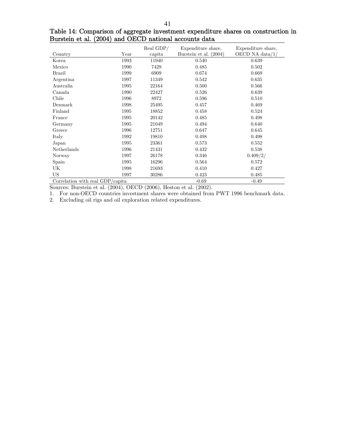|                                  |      | Real GDP/ | Expenditure share,     | Expenditure share, |
|----------------------------------|------|-----------|------------------------|--------------------|
| Country                          | Year | capita    | Burstein et al. (2004) | OECD NA data $/1/$ |
| Korea                            | 1993 | 11940     | 0.540                  | 0.639              |
| Mexico                           | 1990 | 7429      | 0.485                  | 0.502              |
| <b>Brazil</b>                    | 1999 | 6909      | 0.674                  | 0.669              |
| Argentina                        | 1997 | 11349     | 0.542                  | 0.635              |
| Australia                        | 1995 | 22164     | 0.500                  | 0.566              |
| Canada                           | 1990 | 22427     | 0.526                  | 0.639              |
| Chile                            | 1996 | 8972      | 0.596                  | 0.510              |
| Denmark                          | 1998 | 25495     | 0.457                  | 0.469              |
| Finland                          | 1995 | 18852     | 0.458                  | 0.524              |
| France                           | 1995 | 20142     | 0.485                  | 0.498              |
| Germany                          | 1995 | 21049     | 0.494                  | 0.640              |
| Greece                           | 1996 | 12751     | 0.647                  | 0.645              |
| Italy                            | 1992 | 19810     | 0.498                  | 0.498              |
| Japan                            | 1995 | 23361     | 0.573                  | 0.552              |
| Netherlands                      | 1996 | 21431     | 0.432                  | 0.538              |
| Norway                           | 1997 | 26178     | 0.346                  | 0.409/2/           |
| Spain                            | 1995 | 16296     | 0.564                  | 0.572              |
| UK                               | 1998 | 21693     | 0.410                  | 0.427              |
| <b>US</b>                        | 1997 | 30286     | 0.423                  | 0.485              |
| Correlation with real GDP/capita |      |           | $-0.69$                | $-0.49$            |

Table 14: Comparison of aggregate investment expenditure shares on construction in Burstein et al. (2004) and OECD national accounts data

Sources: Burstein et al. (2004), OECD (2006), Heston et al. (2002).

1. For non-OECD countries investment shares were obtained from PWT 1996 benchmark data.

2. Excluding oil rigs and oil exploration related expenditures.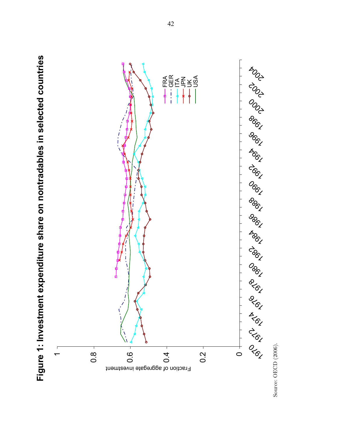

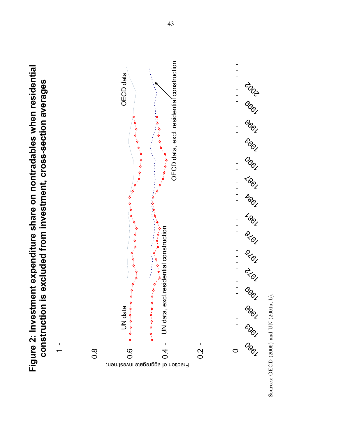

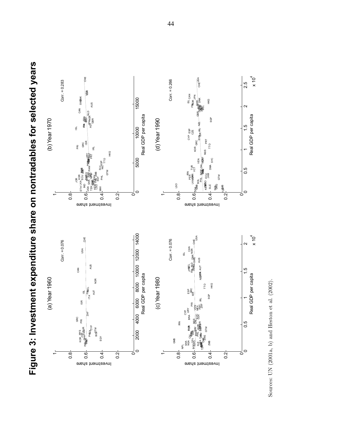

**Figure 3: Investment expenditure share on nontradables for selected years**  Figure 3: Investment expenditure share on nontradables for selected years

Sources: UN (2001a, b) and Heston et al. (2002). Sources: UN (2001a, b) and Heston et al. (2002).

44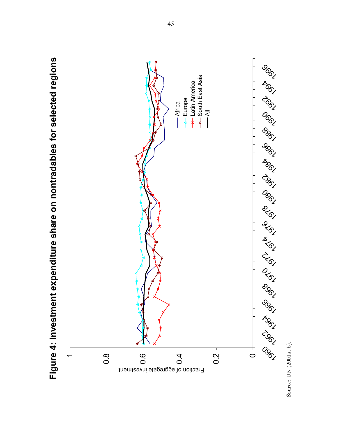

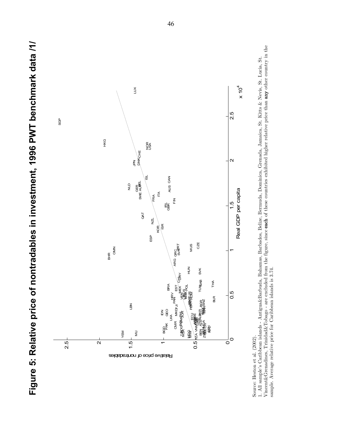

Source: Heston et al. (2002).

Vincent&Grenadines, Trinidad&Tobago - are excluded from the figure, since each of these countries exhibited higher relative price than any other country in the Vincent&Grenadines, Trinidad&Tobago - are excluded from the figure, since each of these countries exhibited higher relative price than any other country in the 1. All sample's Caribbean islands - Antigua&Barbuda, Bahamas, Barbados, Belize, Bermuda, Dominica, Grenada, Jamaica, St. Kitts & Nevis, St. Lucia, St. 1. All sample's Caribbean islands - Antigua&Barbuda, Bahamas, Barbados, Belize, Bermuda, Dominica, Grenada, Jamaica, St. Kitts & Nevis, St. Lucia, St. sample. Average relative price for Caribbean islands is 3.74. sample. Average relative price for Caribbean islands is 3.74.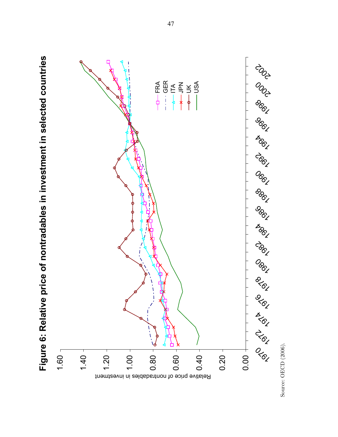